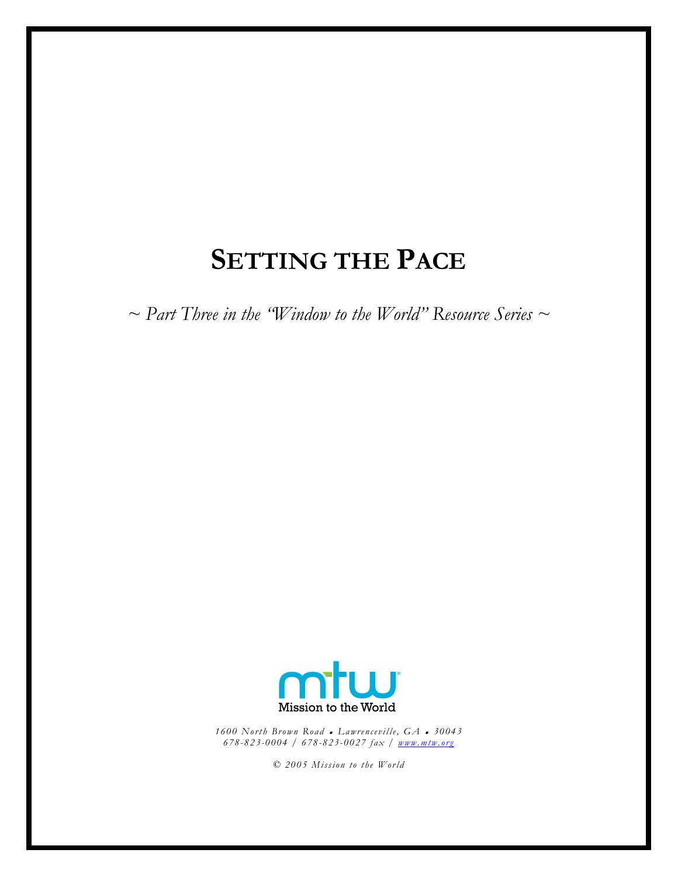# SETTING THE PACE

 $\sim$  Part Three in the "Window to the World" Resource Series  $\sim$ 



1600 North Brown Road • Lawrenceville,  $GA \cdot 30043$ 678- 823-0004 / 678-823- 0027 fax / www.mtw.org

© 2005 Mission to the World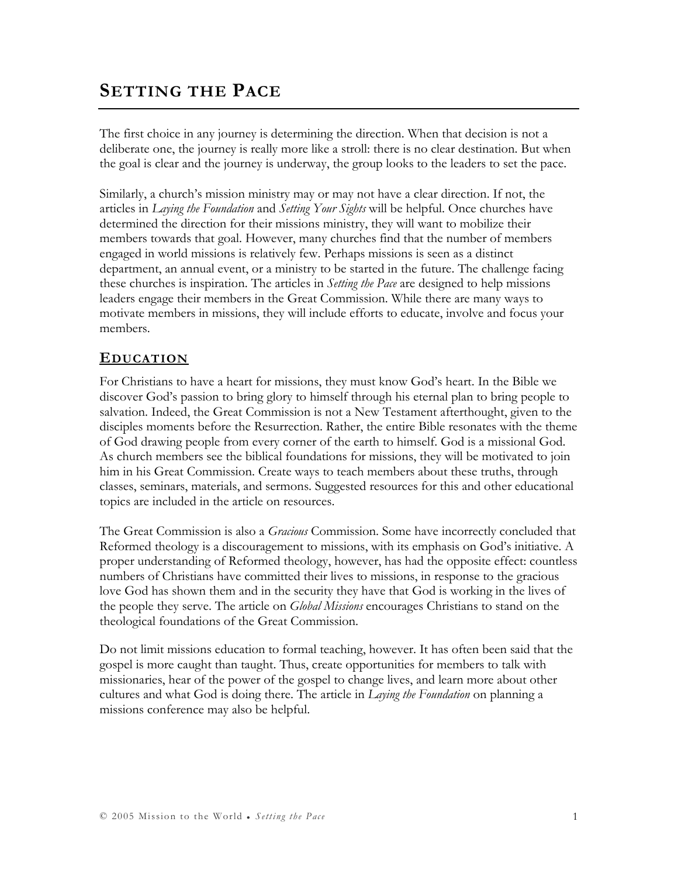The first choice in any journey is determining the direction. When that decision is not a deliberate one, the journey is really more like a stroll: there is no clear destination. But when the goal is clear and the journey is underway, the group looks to the leaders to set the pace.

Similarly, a church's mission ministry may or may not have a clear direction. If not, the articles in Laying the Foundation and Setting Your Sights will be helpful. Once churches have determined the direction for their missions ministry, they will want to mobilize their members towards that goal. However, many churches find that the number of members engaged in world missions is relatively few. Perhaps missions is seen as a distinct department, an annual event, or a ministry to be started in the future. The challenge facing these churches is inspiration. The articles in *Setting the Pace* are designed to help missions leaders engage their members in the Great Commission. While there are many ways to motivate members in missions, they will include efforts to educate, involve and focus your members.

## EDUCATION

For Christians to have a heart for missions, they must know God's heart. In the Bible we discover God's passion to bring glory to himself through his eternal plan to bring people to salvation. Indeed, the Great Commission is not a New Testament afterthought, given to the disciples moments before the Resurrection. Rather, the entire Bible resonates with the theme of God drawing people from every corner of the earth to himself. God is a missional God. As church members see the biblical foundations for missions, they will be motivated to join him in his Great Commission. Create ways to teach members about these truths, through classes, seminars, materials, and sermons. Suggested resources for this and other educational topics are included in the article on resources.

The Great Commission is also a *Gracious* Commission. Some have incorrectly concluded that Reformed theology is a discouragement to missions, with its emphasis on God's initiative. A proper understanding of Reformed theology, however, has had the opposite effect: countless numbers of Christians have committed their lives to missions, in response to the gracious love God has shown them and in the security they have that God is working in the lives of the people they serve. The article on *Global Missions* encourages Christians to stand on the theological foundations of the Great Commission.

Do not limit missions education to formal teaching, however. It has often been said that the gospel is more caught than taught. Thus, create opportunities for members to talk with missionaries, hear of the power of the gospel to change lives, and learn more about other cultures and what God is doing there. The article in *Laying the Foundation* on planning a missions conference may also be helpful.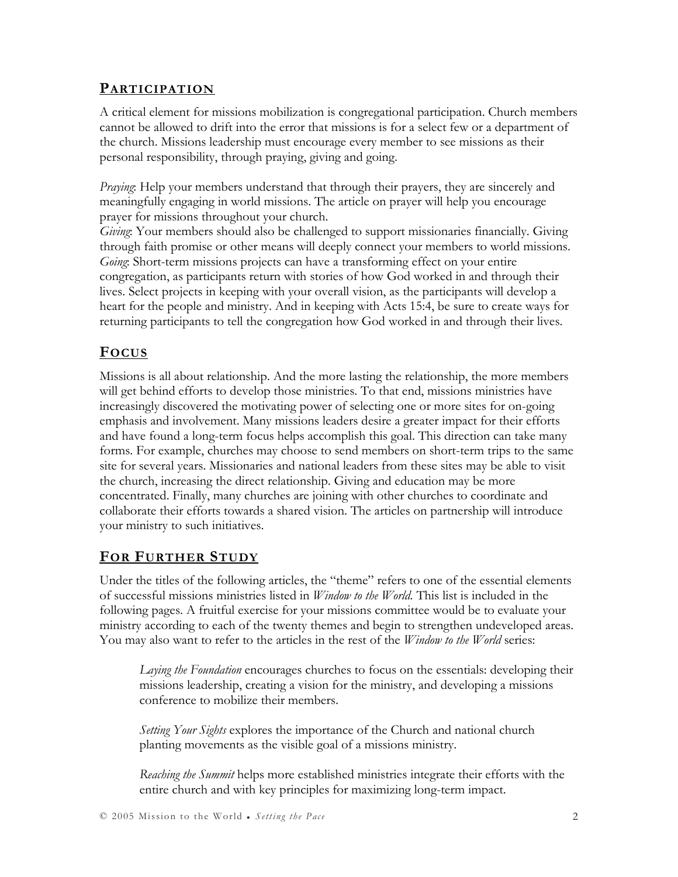### PARTICIPATION

A critical element for missions mobilization is congregational participation. Church members cannot be allowed to drift into the error that missions is for a select few or a department of the church. Missions leadership must encourage every member to see missions as their personal responsibility, through praying, giving and going.

Praying: Help your members understand that through their prayers, they are sincerely and meaningfully engaging in world missions. The article on prayer will help you encourage prayer for missions throughout your church.

Giving: Your members should also be challenged to support missionaries financially. Giving through faith promise or other means will deeply connect your members to world missions. Going: Short-term missions projects can have a transforming effect on your entire congregation, as participants return with stories of how God worked in and through their lives. Select projects in keeping with your overall vision, as the participants will develop a heart for the people and ministry. And in keeping with Acts 15:4, be sure to create ways for returning participants to tell the congregation how God worked in and through their lives.

## FOCUS

Missions is all about relationship. And the more lasting the relationship, the more members will get behind efforts to develop those ministries. To that end, missions ministries have increasingly discovered the motivating power of selecting one or more sites for on-going emphasis and involvement. Many missions leaders desire a greater impact for their efforts and have found a long-term focus helps accomplish this goal. This direction can take many forms. For example, churches may choose to send members on short-term trips to the same site for several years. Missionaries and national leaders from these sites may be able to visit the church, increasing the direct relationship. Giving and education may be more concentrated. Finally, many churches are joining with other churches to coordinate and collaborate their efforts towards a shared vision. The articles on partnership will introduce your ministry to such initiatives.

## FOR FURTHER STUDY

Under the titles of the following articles, the "theme" refers to one of the essential elements of successful missions ministries listed in Window to the World. This list is included in the following pages. A fruitful exercise for your missions committee would be to evaluate your ministry according to each of the twenty themes and begin to strengthen undeveloped areas. You may also want to refer to the articles in the rest of the *Window to the World* series:

Laying the Foundation encourages churches to focus on the essentials: developing their missions leadership, creating a vision for the ministry, and developing a missions conference to mobilize their members.

Setting Your Sights explores the importance of the Church and national church planting movements as the visible goal of a missions ministry.

Reaching the Summit helps more established ministries integrate their efforts with the entire church and with key principles for maximizing long-term impact.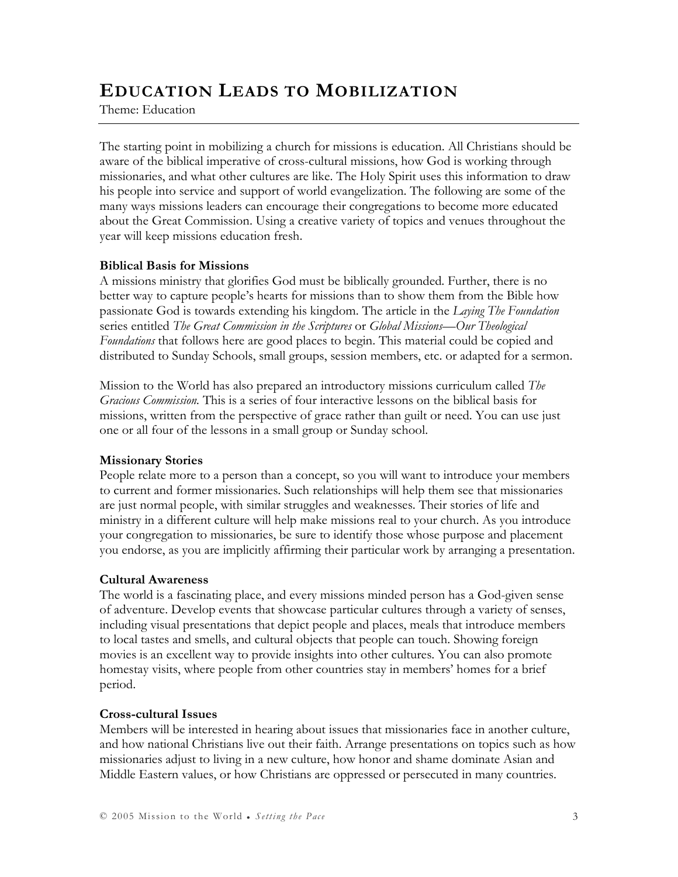## EDUCATION LEADS TO MOBILIZATION

Theme: Education

The starting point in mobilizing a church for missions is education. All Christians should be aware of the biblical imperative of cross-cultural missions, how God is working through missionaries, and what other cultures are like. The Holy Spirit uses this information to draw his people into service and support of world evangelization. The following are some of the many ways missions leaders can encourage their congregations to become more educated about the Great Commission. Using a creative variety of topics and venues throughout the year will keep missions education fresh.

#### Biblical Basis for Missions

A missions ministry that glorifies God must be biblically grounded. Further, there is no better way to capture people's hearts for missions than to show them from the Bible how passionate God is towards extending his kingdom. The article in the Laying The Foundation series entitled The Great Commission in the Scriptures or Global Missions—Our Theological Foundations that follows here are good places to begin. This material could be copied and distributed to Sunday Schools, small groups, session members, etc. or adapted for a sermon.

Mission to the World has also prepared an introductory missions curriculum called The Gracious Commission. This is a series of four interactive lessons on the biblical basis for missions, written from the perspective of grace rather than guilt or need. You can use just one or all four of the lessons in a small group or Sunday school.

#### Missionary Stories

People relate more to a person than a concept, so you will want to introduce your members to current and former missionaries. Such relationships will help them see that missionaries are just normal people, with similar struggles and weaknesses. Their stories of life and ministry in a different culture will help make missions real to your church. As you introduce your congregation to missionaries, be sure to identify those whose purpose and placement you endorse, as you are implicitly affirming their particular work by arranging a presentation.

#### Cultural Awareness

The world is a fascinating place, and every missions minded person has a God-given sense of adventure. Develop events that showcase particular cultures through a variety of senses, including visual presentations that depict people and places, meals that introduce members to local tastes and smells, and cultural objects that people can touch. Showing foreign movies is an excellent way to provide insights into other cultures. You can also promote homestay visits, where people from other countries stay in members' homes for a brief period.

#### Cross-cultural Issues

Members will be interested in hearing about issues that missionaries face in another culture, and how national Christians live out their faith. Arrange presentations on topics such as how missionaries adjust to living in a new culture, how honor and shame dominate Asian and Middle Eastern values, or how Christians are oppressed or persecuted in many countries.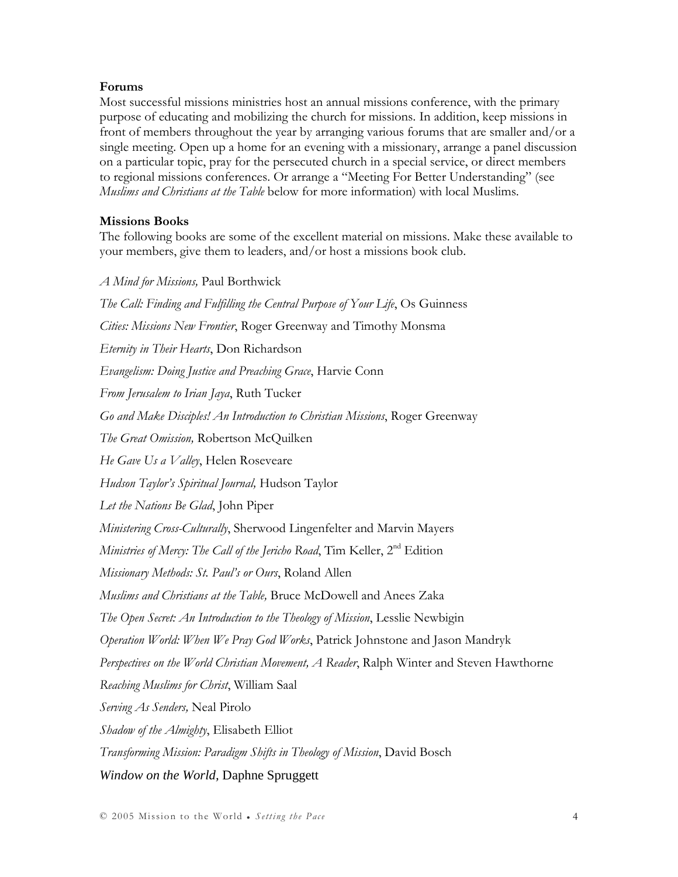#### Forums

Most successful missions ministries host an annual missions conference, with the primary purpose of educating and mobilizing the church for missions. In addition, keep missions in front of members throughout the year by arranging various forums that are smaller and/or a single meeting. Open up a home for an evening with a missionary, arrange a panel discussion on a particular topic, pray for the persecuted church in a special service, or direct members to regional missions conferences. Or arrange a "Meeting For Better Understanding" (see Muslims and Christians at the Table below for more information) with local Muslims.

#### Missions Books

The following books are some of the excellent material on missions. Make these available to your members, give them to leaders, and/or host a missions book club.

A Mind for Missions, Paul Borthwick The Call: Finding and Fulfilling the Central Purpose of Your Life, Os Guinness Cities: Missions New Frontier, Roger Greenway and Timothy Monsma Eternity in Their Hearts, Don Richardson Evangelism: Doing Justice and Preaching Grace, Harvie Conn From Jerusalem to Irian Jaya, Ruth Tucker Go and Make Disciples! An Introduction to Christian Missions, Roger Greenway The Great Omission, Robertson McQuilken He Gave Us a Valley, Helen Roseveare Hudson Taylor's Spiritual Journal, Hudson Taylor Let the Nations Be Glad, John Piper Ministering Cross-Culturally, Sherwood Lingenfelter and Marvin Mayers Ministries of Mercy: The Call of the Jericho Road, Tim Keller, 2<sup>nd</sup> Edition Missionary Methods: St. Paul's or Ours, Roland Allen Muslims and Christians at the Table, Bruce McDowell and Anees Zaka The Open Secret: An Introduction to the Theology of Mission, Lesslie Newbigin Operation World: When We Pray God Works, Patrick Johnstone and Jason Mandryk Perspectives on the World Christian Movement, A Reader, Ralph Winter and Steven Hawthorne Reaching Muslims for Christ, William Saal Serving As Senders, Neal Pirolo Shadow of the Almighty, Elisabeth Elliot Transforming Mission: Paradigm Shifts in Theology of Mission, David Bosch

*Window on the World,* Daphne Spruggett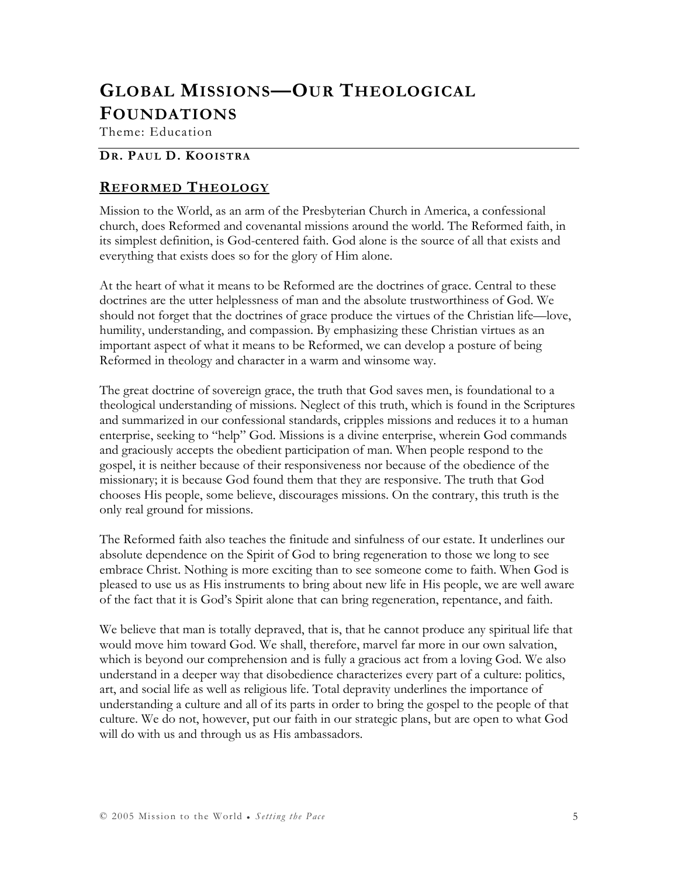## GLOBAL MISSIONS—OUR THEOLOGICAL FOUNDATIONS

Theme: Education

### DR. PAUL D. KOOISTRA

## REFORMED THEOLOGY

Mission to the World, as an arm of the Presbyterian Church in America, a confessional church, does Reformed and covenantal missions around the world. The Reformed faith, in its simplest definition, is God-centered faith. God alone is the source of all that exists and everything that exists does so for the glory of Him alone.

At the heart of what it means to be Reformed are the doctrines of grace. Central to these doctrines are the utter helplessness of man and the absolute trustworthiness of God. We should not forget that the doctrines of grace produce the virtues of the Christian life—love, humility, understanding, and compassion. By emphasizing these Christian virtues as an important aspect of what it means to be Reformed, we can develop a posture of being Reformed in theology and character in a warm and winsome way.

The great doctrine of sovereign grace, the truth that God saves men, is foundational to a theological understanding of missions. Neglect of this truth, which is found in the Scriptures and summarized in our confessional standards, cripples missions and reduces it to a human enterprise, seeking to "help" God. Missions is a divine enterprise, wherein God commands and graciously accepts the obedient participation of man. When people respond to the gospel, it is neither because of their responsiveness nor because of the obedience of the missionary; it is because God found them that they are responsive. The truth that God chooses His people, some believe, discourages missions. On the contrary, this truth is the only real ground for missions.

The Reformed faith also teaches the finitude and sinfulness of our estate. It underlines our absolute dependence on the Spirit of God to bring regeneration to those we long to see embrace Christ. Nothing is more exciting than to see someone come to faith. When God is pleased to use us as His instruments to bring about new life in His people, we are well aware of the fact that it is God's Spirit alone that can bring regeneration, repentance, and faith.

We believe that man is totally depraved, that is, that he cannot produce any spiritual life that would move him toward God. We shall, therefore, marvel far more in our own salvation, which is beyond our comprehension and is fully a gracious act from a loving God. We also understand in a deeper way that disobedience characterizes every part of a culture: politics, art, and social life as well as religious life. Total depravity underlines the importance of understanding a culture and all of its parts in order to bring the gospel to the people of that culture. We do not, however, put our faith in our strategic plans, but are open to what God will do with us and through us as His ambassadors.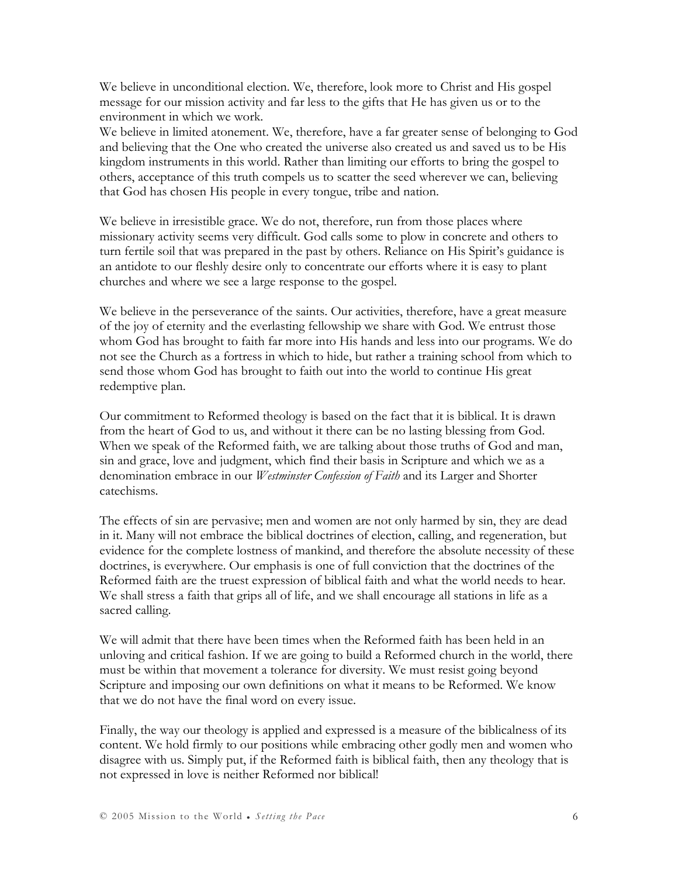We believe in unconditional election. We, therefore, look more to Christ and His gospel message for our mission activity and far less to the gifts that He has given us or to the environment in which we work.

We believe in limited atonement. We, therefore, have a far greater sense of belonging to God and believing that the One who created the universe also created us and saved us to be His kingdom instruments in this world. Rather than limiting our efforts to bring the gospel to others, acceptance of this truth compels us to scatter the seed wherever we can, believing that God has chosen His people in every tongue, tribe and nation.

We believe in irresistible grace. We do not, therefore, run from those places where missionary activity seems very difficult. God calls some to plow in concrete and others to turn fertile soil that was prepared in the past by others. Reliance on His Spirit's guidance is an antidote to our fleshly desire only to concentrate our efforts where it is easy to plant churches and where we see a large response to the gospel.

We believe in the perseverance of the saints. Our activities, therefore, have a great measure of the joy of eternity and the everlasting fellowship we share with God. We entrust those whom God has brought to faith far more into His hands and less into our programs. We do not see the Church as a fortress in which to hide, but rather a training school from which to send those whom God has brought to faith out into the world to continue His great redemptive plan.

Our commitment to Reformed theology is based on the fact that it is biblical. It is drawn from the heart of God to us, and without it there can be no lasting blessing from God. When we speak of the Reformed faith, we are talking about those truths of God and man, sin and grace, love and judgment, which find their basis in Scripture and which we as a denomination embrace in our *Westminster Confession of Faith* and its Larger and Shorter catechisms.

The effects of sin are pervasive; men and women are not only harmed by sin, they are dead in it. Many will not embrace the biblical doctrines of election, calling, and regeneration, but evidence for the complete lostness of mankind, and therefore the absolute necessity of these doctrines, is everywhere. Our emphasis is one of full conviction that the doctrines of the Reformed faith are the truest expression of biblical faith and what the world needs to hear. We shall stress a faith that grips all of life, and we shall encourage all stations in life as a sacred calling.

We will admit that there have been times when the Reformed faith has been held in an unloving and critical fashion. If we are going to build a Reformed church in the world, there must be within that movement a tolerance for diversity. We must resist going beyond Scripture and imposing our own definitions on what it means to be Reformed. We know that we do not have the final word on every issue.

Finally, the way our theology is applied and expressed is a measure of the biblicalness of its content. We hold firmly to our positions while embracing other godly men and women who disagree with us. Simply put, if the Reformed faith is biblical faith, then any theology that is not expressed in love is neither Reformed nor biblical!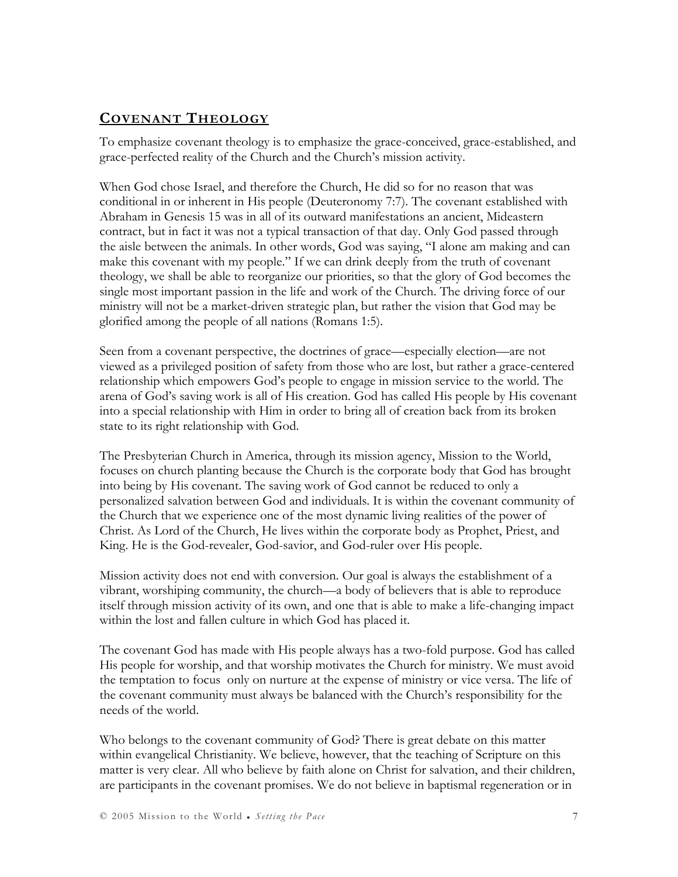## COVENANT THEOLOGY

To emphasize covenant theology is to emphasize the grace-conceived, grace-established, and grace-perfected reality of the Church and the Church's mission activity.

When God chose Israel, and therefore the Church, He did so for no reason that was conditional in or inherent in His people (Deuteronomy 7:7). The covenant established with Abraham in Genesis 15 was in all of its outward manifestations an ancient, Mideastern contract, but in fact it was not a typical transaction of that day. Only God passed through the aisle between the animals. In other words, God was saying, "I alone am making and can make this covenant with my people." If we can drink deeply from the truth of covenant theology, we shall be able to reorganize our priorities, so that the glory of God becomes the single most important passion in the life and work of the Church. The driving force of our ministry will not be a market-driven strategic plan, but rather the vision that God may be glorified among the people of all nations (Romans 1:5).

Seen from a covenant perspective, the doctrines of grace—especially election—are not viewed as a privileged position of safety from those who are lost, but rather a grace-centered relationship which empowers God's people to engage in mission service to the world. The arena of God's saving work is all of His creation. God has called His people by His covenant into a special relationship with Him in order to bring all of creation back from its broken state to its right relationship with God.

The Presbyterian Church in America, through its mission agency, Mission to the World, focuses on church planting because the Church is the corporate body that God has brought into being by His covenant. The saving work of God cannot be reduced to only a personalized salvation between God and individuals. It is within the covenant community of the Church that we experience one of the most dynamic living realities of the power of Christ. As Lord of the Church, He lives within the corporate body as Prophet, Priest, and King. He is the God-revealer, God-savior, and God-ruler over His people.

Mission activity does not end with conversion. Our goal is always the establishment of a vibrant, worshiping community, the church—a body of believers that is able to reproduce itself through mission activity of its own, and one that is able to make a life-changing impact within the lost and fallen culture in which God has placed it.

The covenant God has made with His people always has a two-fold purpose. God has called His people for worship, and that worship motivates the Church for ministry. We must avoid the temptation to focus only on nurture at the expense of ministry or vice versa. The life of the covenant community must always be balanced with the Church's responsibility for the needs of the world.

Who belongs to the covenant community of God? There is great debate on this matter within evangelical Christianity. We believe, however, that the teaching of Scripture on this matter is very clear. All who believe by faith alone on Christ for salvation, and their children, are participants in the covenant promises. We do not believe in baptismal regeneration or in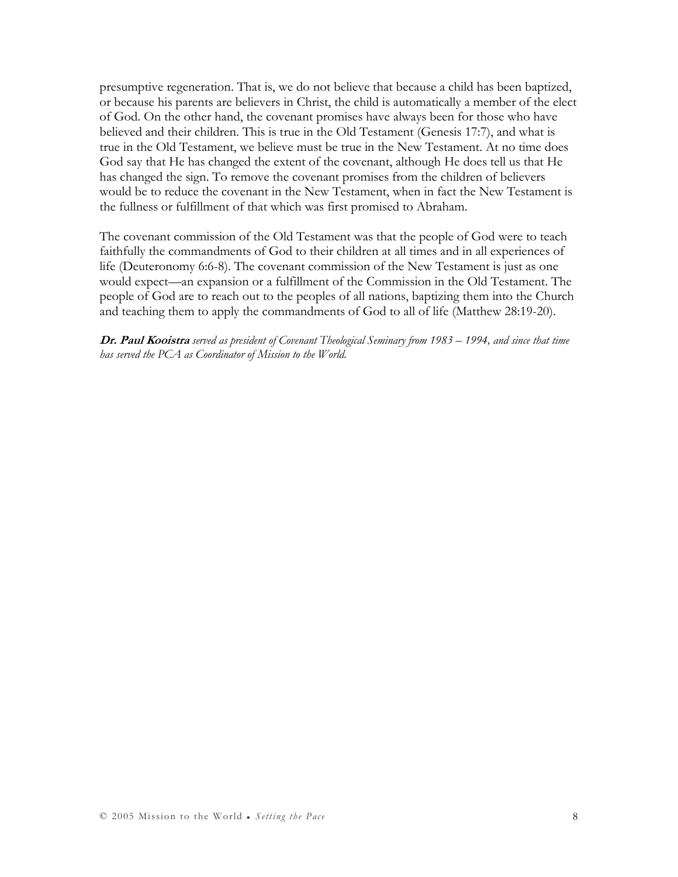presumptive regeneration. That is, we do not believe that because a child has been baptized, or because his parents are believers in Christ, the child is automatically a member of the elect of God. On the other hand, the covenant promises have always been for those who have believed and their children. This is true in the Old Testament (Genesis 17:7), and what is true in the Old Testament, we believe must be true in the New Testament. At no time does God say that He has changed the extent of the covenant, although He does tell us that He has changed the sign. To remove the covenant promises from the children of believers would be to reduce the covenant in the New Testament, when in fact the New Testament is the fullness or fulfillment of that which was first promised to Abraham.

The covenant commission of the Old Testament was that the people of God were to teach faithfully the commandments of God to their children at all times and in all experiences of life (Deuteronomy 6:6-8). The covenant commission of the New Testament is just as one would expect—an expansion or a fulfillment of the Commission in the Old Testament. The people of God are to reach out to the peoples of all nations, baptizing them into the Church and teaching them to apply the commandments of God to all of life (Matthew 28:19-20).

Dr. Paul Kooistra served as president of Covenant Theological Seminary from 1983 – 1994, and since that time has served the PCA as Coordinator of Mission to the World.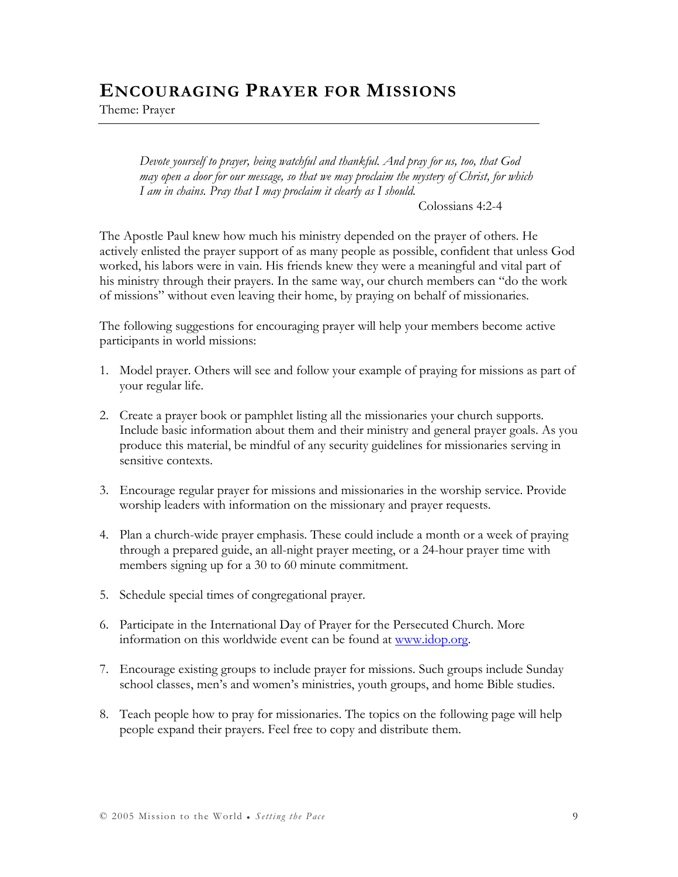## ENCOURAGING PRAYER FOR MISSIONS

Theme: Prayer

Devote yourself to prayer, being watchful and thankful. And pray for us, too, that God may open a door for our message, so that we may proclaim the mystery of Christ, for which I am in chains. Pray that I may proclaim it clearly as I should.

Colossians 4:2-4

The Apostle Paul knew how much his ministry depended on the prayer of others. He actively enlisted the prayer support of as many people as possible, confident that unless God worked, his labors were in vain. His friends knew they were a meaningful and vital part of his ministry through their prayers. In the same way, our church members can "do the work of missions" without even leaving their home, by praying on behalf of missionaries.

The following suggestions for encouraging prayer will help your members become active participants in world missions:

- 1. Model prayer. Others will see and follow your example of praying for missions as part of your regular life.
- 2. Create a prayer book or pamphlet listing all the missionaries your church supports. Include basic information about them and their ministry and general prayer goals. As you produce this material, be mindful of any security guidelines for missionaries serving in sensitive contexts.
- 3. Encourage regular prayer for missions and missionaries in the worship service. Provide worship leaders with information on the missionary and prayer requests.
- 4. Plan a church-wide prayer emphasis. These could include a month or a week of praying through a prepared guide, an all-night prayer meeting, or a 24-hour prayer time with members signing up for a 30 to 60 minute commitment.
- 5. Schedule special times of congregational prayer.
- 6. Participate in the International Day of Prayer for the Persecuted Church. More information on this worldwide event can be found at www.idop.org.
- 7. Encourage existing groups to include prayer for missions. Such groups include Sunday school classes, men's and women's ministries, youth groups, and home Bible studies.
- 8. Teach people how to pray for missionaries. The topics on the following page will help people expand their prayers. Feel free to copy and distribute them.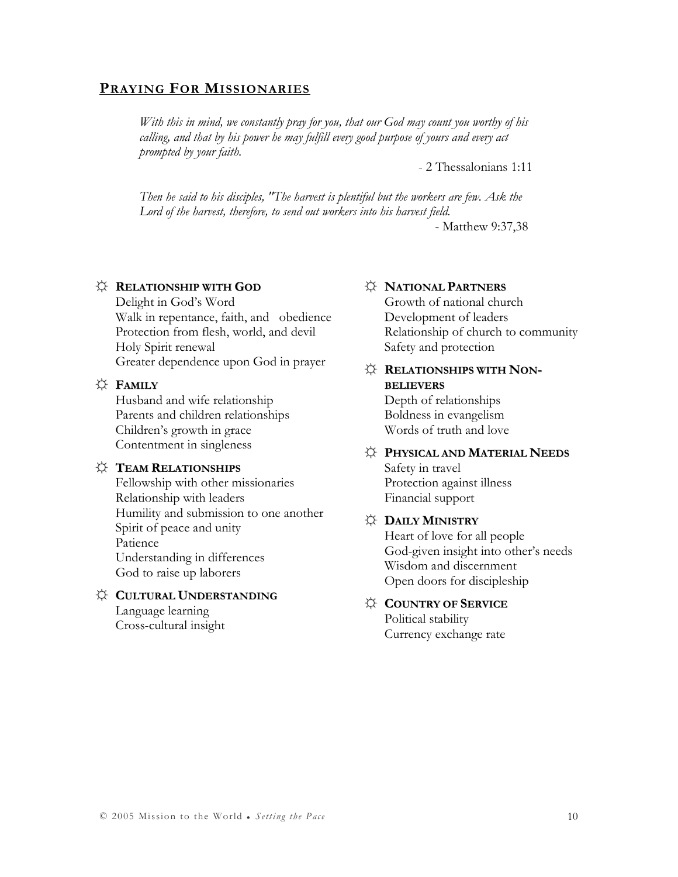#### PRAYING FOR MISSIONARIES

With this in mind, we constantly pray for you, that our God may count you worthy of his calling, and that by his power he may fulfill every good purpose of yours and every act prompted by your faith.

- 2 Thessalonians 1:11

Then he said to his disciples, "The harvest is plentiful but the workers are few. Ask the Lord of the harvest, therefore, to send out workers into his harvest field.

- Matthew 9:37,38

#### ☼ RELATIONSHIP WITH GOD

Delight in God's Word Walk in repentance, faith, and obedience Protection from flesh, world, and devil Holy Spirit renewal Greater dependence upon God in prayer

#### ☼ FAMILY

Husband and wife relationship Parents and children relationships Children's growth in grace Contentment in singleness

#### ☼ TEAM RELATIONSHIPS

Fellowship with other missionaries Relationship with leaders Humility and submission to one another Spirit of peace and unity Patience Understanding in differences God to raise up laborers

### ☼ CULTURAL UNDERSTANDING Language learning

Cross-cultural insight

#### ☼ NATIONAL PARTNERS

Growth of national church Development of leaders Relationship of church to community Safety and protection

## ☼ RELATIONSHIPS WITH NON-BELIEVERS

Depth of relationships Boldness in evangelism Words of truth and love

### ☼ PHYSICAL AND MATERIAL NEEDS Safety in travel Protection against illness

Financial support

### ☼ DAILY MINISTRY

Heart of love for all people God-given insight into other's needs Wisdom and discernment Open doors for discipleship

#### ☼ COUNTRY OF SERVICE

Political stability Currency exchange rate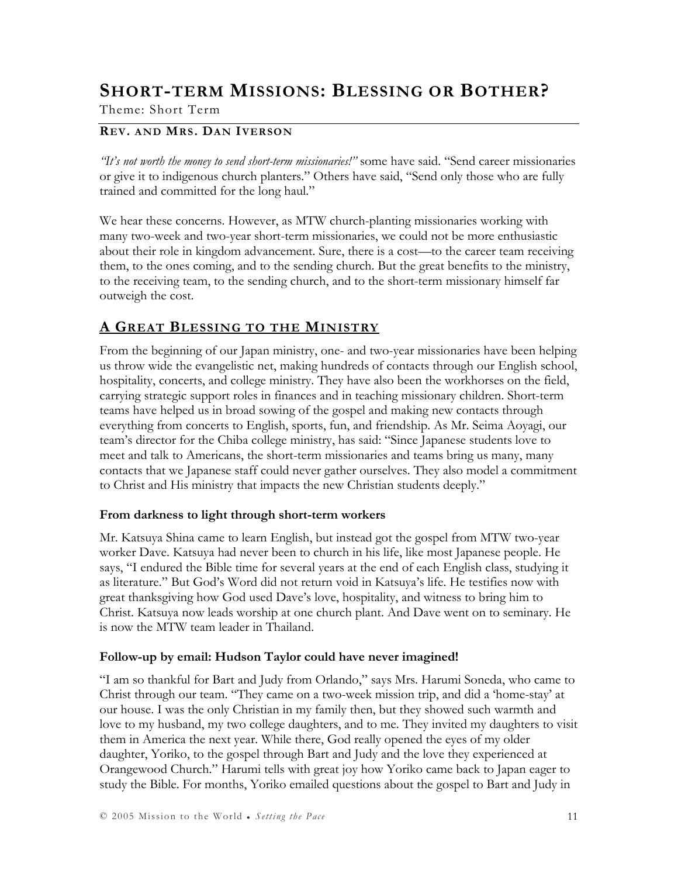## SHORT-TERM MISSIONS: BLESSING OR BOTHER?

Theme: Short Term

### REV. AND MRS. DAN IVERSON

"It's not worth the money to send short-term missionaries!" some have said. "Send career missionaries" or give it to indigenous church planters." Others have said, "Send only those who are fully trained and committed for the long haul."

We hear these concerns. However, as MTW church-planting missionaries working with many two-week and two-year short-term missionaries, we could not be more enthusiastic about their role in kingdom advancement. Sure, there is a cost—to the career team receiving them, to the ones coming, and to the sending church. But the great benefits to the ministry, to the receiving team, to the sending church, and to the short-term missionary himself far outweigh the cost.

## A GREAT BLESSING TO THE MINISTRY

From the beginning of our Japan ministry, one- and two-year missionaries have been helping us throw wide the evangelistic net, making hundreds of contacts through our English school, hospitality, concerts, and college ministry. They have also been the workhorses on the field, carrying strategic support roles in finances and in teaching missionary children. Short-term teams have helped us in broad sowing of the gospel and making new contacts through everything from concerts to English, sports, fun, and friendship. As Mr. Seima Aoyagi, our team's director for the Chiba college ministry, has said: "Since Japanese students love to meet and talk to Americans, the short-term missionaries and teams bring us many, many contacts that we Japanese staff could never gather ourselves. They also model a commitment to Christ and His ministry that impacts the new Christian students deeply."

#### From darkness to light through short-term workers

Mr. Katsuya Shina came to learn English, but instead got the gospel from MTW two-year worker Dave. Katsuya had never been to church in his life, like most Japanese people. He says, "I endured the Bible time for several years at the end of each English class, studying it as literature." But God's Word did not return void in Katsuya's life. He testifies now with great thanksgiving how God used Dave's love, hospitality, and witness to bring him to Christ. Katsuya now leads worship at one church plant. And Dave went on to seminary. He is now the MTW team leader in Thailand.

#### Follow-up by email: Hudson Taylor could have never imagined!

"I am so thankful for Bart and Judy from Orlando," says Mrs. Harumi Soneda, who came to Christ through our team. "They came on a two-week mission trip, and did a 'home-stay' at our house. I was the only Christian in my family then, but they showed such warmth and love to my husband, my two college daughters, and to me. They invited my daughters to visit them in America the next year. While there, God really opened the eyes of my older daughter, Yoriko, to the gospel through Bart and Judy and the love they experienced at Orangewood Church." Harumi tells with great joy how Yoriko came back to Japan eager to study the Bible. For months, Yoriko emailed questions about the gospel to Bart and Judy in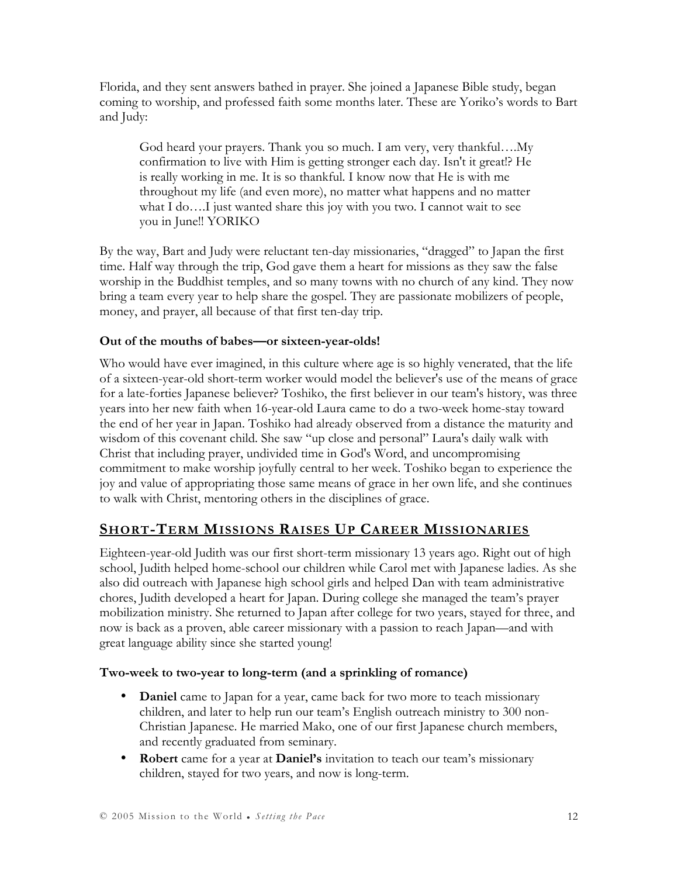Florida, and they sent answers bathed in prayer. She joined a Japanese Bible study, began coming to worship, and professed faith some months later. These are Yoriko's words to Bart and Judy:

God heard your prayers. Thank you so much. I am very, very thankful….My confirmation to live with Him is getting stronger each day. Isn't it great!? He is really working in me. It is so thankful. I know now that He is with me throughout my life (and even more), no matter what happens and no matter what I do....I just wanted share this joy with you two. I cannot wait to see you in June!! YORIKO

By the way, Bart and Judy were reluctant ten-day missionaries, "dragged" to Japan the first time. Half way through the trip, God gave them a heart for missions as they saw the false worship in the Buddhist temples, and so many towns with no church of any kind. They now bring a team every year to help share the gospel. They are passionate mobilizers of people, money, and prayer, all because of that first ten-day trip.

### Out of the mouths of babes—or sixteen-year-olds!

Who would have ever imagined, in this culture where age is so highly venerated, that the life of a sixteen-year-old short-term worker would model the believer's use of the means of grace for a late-forties Japanese believer? Toshiko, the first believer in our team's history, was three years into her new faith when 16-year-old Laura came to do a two-week home-stay toward the end of her year in Japan. Toshiko had already observed from a distance the maturity and wisdom of this covenant child. She saw "up close and personal" Laura's daily walk with Christ that including prayer, undivided time in God's Word, and uncompromising commitment to make worship joyfully central to her week. Toshiko began to experience the joy and value of appropriating those same means of grace in her own life, and she continues to walk with Christ, mentoring others in the disciplines of grace.

## SHORT-TERM MISSIONS RAISES UP CAREER MISSIONARIES

Eighteen-year-old Judith was our first short-term missionary 13 years ago. Right out of high school, Judith helped home-school our children while Carol met with Japanese ladies. As she also did outreach with Japanese high school girls and helped Dan with team administrative chores, Judith developed a heart for Japan. During college she managed the team's prayer mobilization ministry. She returned to Japan after college for two years, stayed for three, and now is back as a proven, able career missionary with a passion to reach Japan—and with great language ability since she started young!

#### Two-week to two-year to long-term (and a sprinkling of romance)

- Daniel came to Japan for a year, came back for two more to teach missionary children, and later to help run our team's English outreach ministry to 300 non-Christian Japanese. He married Mako, one of our first Japanese church members, and recently graduated from seminary.
- Robert came for a year at Daniel's invitation to teach our team's missionary children, stayed for two years, and now is long-term.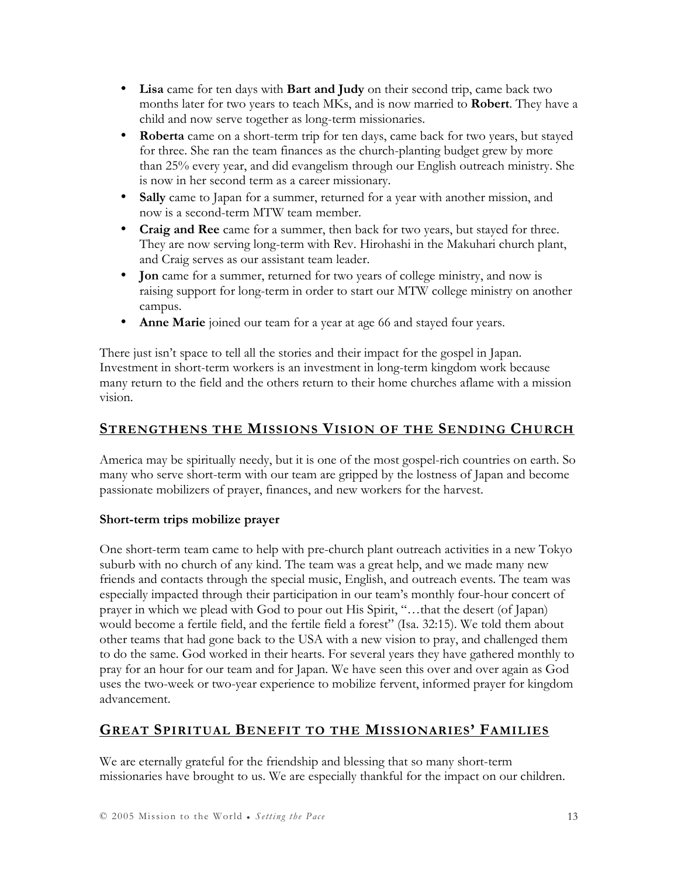- Lisa came for ten days with **Bart and Judy** on their second trip, came back two months later for two years to teach MKs, and is now married to Robert. They have a child and now serve together as long-term missionaries.
- Roberta came on a short-term trip for ten days, came back for two years, but stayed for three. She ran the team finances as the church-planting budget grew by more than 25% every year, and did evangelism through our English outreach ministry. She is now in her second term as a career missionary.
- Sally came to Japan for a summer, returned for a year with another mission, and now is a second-term MTW team member.
- Craig and Ree came for a summer, then back for two years, but stayed for three. They are now serving long-term with Rev. Hirohashi in the Makuhari church plant, and Craig serves as our assistant team leader.
- Jon came for a summer, returned for two years of college ministry, and now is raising support for long-term in order to start our MTW college ministry on another campus.
- Anne Marie joined our team for a year at age 66 and stayed four years.

There just isn't space to tell all the stories and their impact for the gospel in Japan. Investment in short-term workers is an investment in long-term kingdom work because many return to the field and the others return to their home churches aflame with a mission vision.

## STRENGTHENS THE MISSIONS VISION OF THE SENDING CHURCH

America may be spiritually needy, but it is one of the most gospel-rich countries on earth. So many who serve short-term with our team are gripped by the lostness of Japan and become passionate mobilizers of prayer, finances, and new workers for the harvest.

### Short-term trips mobilize prayer

One short-term team came to help with pre-church plant outreach activities in a new Tokyo suburb with no church of any kind. The team was a great help, and we made many new friends and contacts through the special music, English, and outreach events. The team was especially impacted through their participation in our team's monthly four-hour concert of prayer in which we plead with God to pour out His Spirit, "…that the desert (of Japan) would become a fertile field, and the fertile field a forest" (Isa. 32:15). We told them about other teams that had gone back to the USA with a new vision to pray, and challenged them to do the same. God worked in their hearts. For several years they have gathered monthly to pray for an hour for our team and for Japan. We have seen this over and over again as God uses the two-week or two-year experience to mobilize fervent, informed prayer for kingdom advancement.

## GREAT SPIRITUAL BENEFIT TO THE MISSIONARIES' FAMILIES

We are eternally grateful for the friendship and blessing that so many short-term missionaries have brought to us. We are especially thankful for the impact on our children.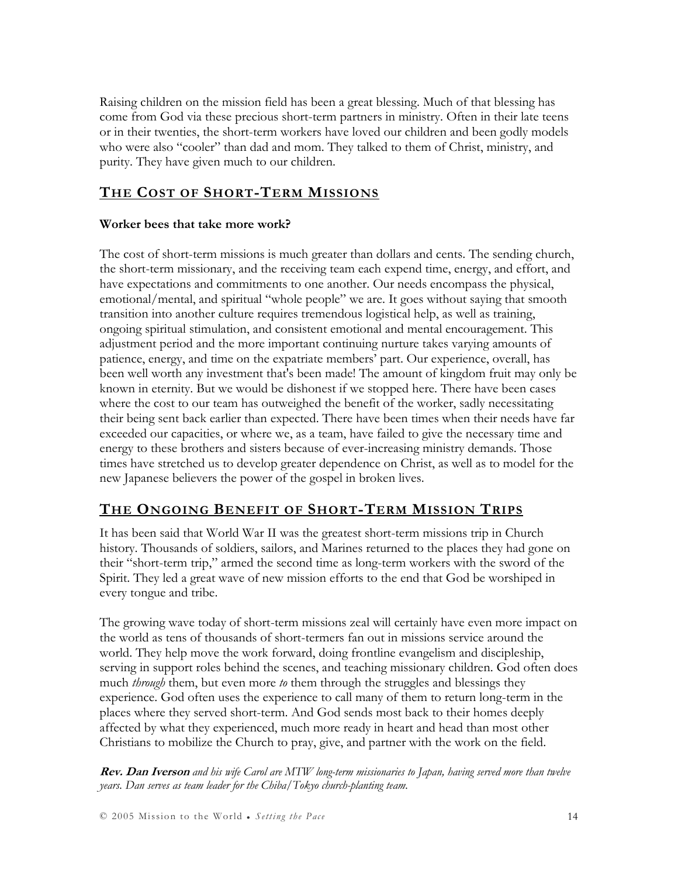Raising children on the mission field has been a great blessing. Much of that blessing has come from God via these precious short-term partners in ministry. Often in their late teens or in their twenties, the short-term workers have loved our children and been godly models who were also "cooler" than dad and mom. They talked to them of Christ, ministry, and purity. They have given much to our children.

## THE COST OF SHORT-TERM MISSIONS

#### Worker bees that take more work?

The cost of short-term missions is much greater than dollars and cents. The sending church, the short-term missionary, and the receiving team each expend time, energy, and effort, and have expectations and commitments to one another. Our needs encompass the physical, emotional/mental, and spiritual "whole people" we are. It goes without saying that smooth transition into another culture requires tremendous logistical help, as well as training, ongoing spiritual stimulation, and consistent emotional and mental encouragement. This adjustment period and the more important continuing nurture takes varying amounts of patience, energy, and time on the expatriate members' part. Our experience, overall, has been well worth any investment that's been made! The amount of kingdom fruit may only be known in eternity. But we would be dishonest if we stopped here. There have been cases where the cost to our team has outweighed the benefit of the worker, sadly necessitating their being sent back earlier than expected. There have been times when their needs have far exceeded our capacities, or where we, as a team, have failed to give the necessary time and energy to these brothers and sisters because of ever-increasing ministry demands. Those times have stretched us to develop greater dependence on Christ, as well as to model for the new Japanese believers the power of the gospel in broken lives.

## THE ONGOING BENEFIT OF SHORT-TERM MISSION TRIPS

It has been said that World War II was the greatest short-term missions trip in Church history. Thousands of soldiers, sailors, and Marines returned to the places they had gone on their "short-term trip," armed the second time as long-term workers with the sword of the Spirit. They led a great wave of new mission efforts to the end that God be worshiped in every tongue and tribe.

The growing wave today of short-term missions zeal will certainly have even more impact on the world as tens of thousands of short-termers fan out in missions service around the world. They help move the work forward, doing frontline evangelism and discipleship, serving in support roles behind the scenes, and teaching missionary children. God often does much *through* them, but even more to them through the struggles and blessings they experience. God often uses the experience to call many of them to return long-term in the places where they served short-term. And God sends most back to their homes deeply affected by what they experienced, much more ready in heart and head than most other Christians to mobilize the Church to pray, give, and partner with the work on the field.

Rev. Dan Iverson and his wife Carol are MTW long-term missionaries to Japan, having served more than twelve years. Dan serves as team leader for the Chiba/Tokyo church-planting team.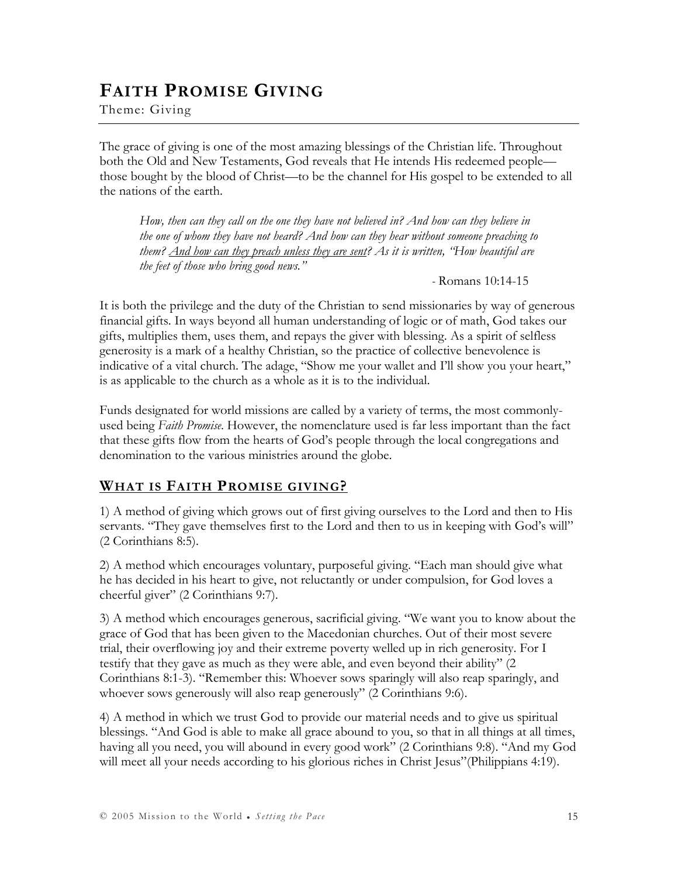## FAITH PROMISE GIVING

Theme: Giving

The grace of giving is one of the most amazing blessings of the Christian life. Throughout both the Old and New Testaments, God reveals that He intends His redeemed people those bought by the blood of Christ—to be the channel for His gospel to be extended to all the nations of the earth.

How, then can they call on the one they have not believed in? And how can they believe in the one of whom they have not heard? And how can they hear without someone preaching to them? And how can they preach unless they are sent? As it is written, "How beautiful are the feet of those who bring good news."

- Romans 10:14-15

It is both the privilege and the duty of the Christian to send missionaries by way of generous financial gifts. In ways beyond all human understanding of logic or of math, God takes our gifts, multiplies them, uses them, and repays the giver with blessing. As a spirit of selfless generosity is a mark of a healthy Christian, so the practice of collective benevolence is indicative of a vital church. The adage, "Show me your wallet and I'll show you your heart," is as applicable to the church as a whole as it is to the individual.

Funds designated for world missions are called by a variety of terms, the most commonlyused being Faith Promise. However, the nomenclature used is far less important than the fact that these gifts flow from the hearts of God's people through the local congregations and denomination to the various ministries around the globe.

## WHAT IS FAITH PROMISE GIVING?

1) A method of giving which grows out of first giving ourselves to the Lord and then to His servants. "They gave themselves first to the Lord and then to us in keeping with God's will" (2 Corinthians 8:5).

2) A method which encourages voluntary, purposeful giving. "Each man should give what he has decided in his heart to give, not reluctantly or under compulsion, for God loves a cheerful giver" (2 Corinthians 9:7).

3) A method which encourages generous, sacrificial giving. "We want you to know about the grace of God that has been given to the Macedonian churches. Out of their most severe trial, their overflowing joy and their extreme poverty welled up in rich generosity. For I testify that they gave as much as they were able, and even beyond their ability" (2 Corinthians 8:1-3). "Remember this: Whoever sows sparingly will also reap sparingly, and whoever sows generously will also reap generously" (2 Corinthians 9:6).

4) A method in which we trust God to provide our material needs and to give us spiritual blessings. "And God is able to make all grace abound to you, so that in all things at all times, having all you need, you will abound in every good work" (2 Corinthians 9:8). "And my God will meet all your needs according to his glorious riches in Christ Jesus"(Philippians 4:19).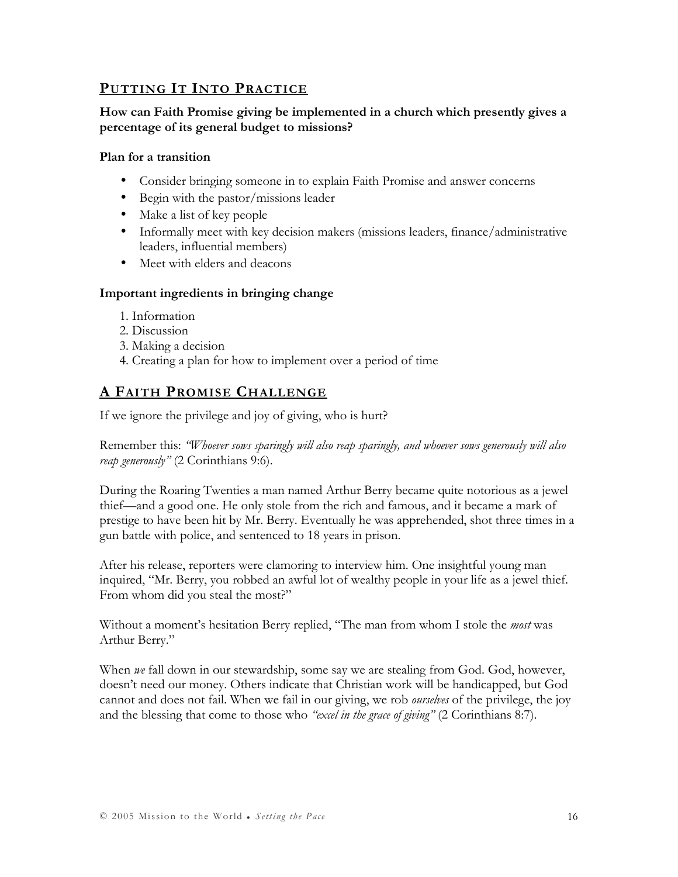## PUTTING IT INTO PRACTICE

#### How can Faith Promise giving be implemented in a church which presently gives a percentage of its general budget to missions?

#### Plan for a transition

- Consider bringing someone in to explain Faith Promise and answer concerns
- Begin with the pastor/missions leader
- Make a list of key people
- Informally meet with key decision makers (missions leaders, finance/administrative leaders, influential members)
- Meet with elders and deacons

#### Important ingredients in bringing change

- 1. Information
- 2. Discussion
- 3. Making a decision
- 4. Creating a plan for how to implement over a period of time

## A FAITH PROMISE CHALLENGE

If we ignore the privilege and joy of giving, who is hurt?

Remember this: "Whoever sows sparingly will also reap sparingly, and whoever sows generously will also reap generously" (2 Corinthians 9:6).

During the Roaring Twenties a man named Arthur Berry became quite notorious as a jewel thief—and a good one. He only stole from the rich and famous, and it became a mark of prestige to have been hit by Mr. Berry. Eventually he was apprehended, shot three times in a gun battle with police, and sentenced to 18 years in prison.

After his release, reporters were clamoring to interview him. One insightful young man inquired, "Mr. Berry, you robbed an awful lot of wealthy people in your life as a jewel thief. From whom did you steal the most?"

Without a moment's hesitation Berry replied, "The man from whom I stole the *most* was Arthur Berry."

When we fall down in our stewardship, some say we are stealing from God. God, however, doesn't need our money. Others indicate that Christian work will be handicapped, but God cannot and does not fail. When we fail in our giving, we rob *ourselves* of the privilege, the joy and the blessing that come to those who "excel in the grace of giving" (2 Corinthians 8:7).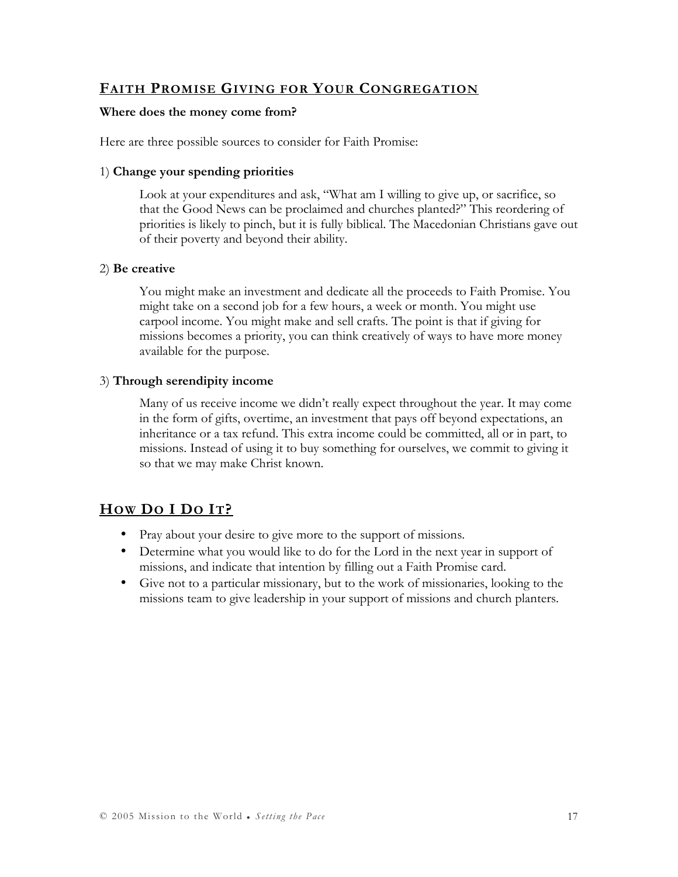## FAITH PROMISE GIVING FOR YOUR CONGREGATION

#### Where does the money come from?

Here are three possible sources to consider for Faith Promise:

#### 1) Change your spending priorities

Look at your expenditures and ask, "What am I willing to give up, or sacrifice, so that the Good News can be proclaimed and churches planted?" This reordering of priorities is likely to pinch, but it is fully biblical. The Macedonian Christians gave out of their poverty and beyond their ability.

#### 2) Be creative

You might make an investment and dedicate all the proceeds to Faith Promise. You might take on a second job for a few hours, a week or month. You might use carpool income. You might make and sell crafts. The point is that if giving for missions becomes a priority, you can think creatively of ways to have more money available for the purpose.

#### 3) Through serendipity income

Many of us receive income we didn't really expect throughout the year. It may come in the form of gifts, overtime, an investment that pays off beyond expectations, an inheritance or a tax refund. This extra income could be committed, all or in part, to missions. Instead of using it to buy something for ourselves, we commit to giving it so that we may make Christ known.

## HOW DO I DO IT?

- Pray about your desire to give more to the support of missions.
- Determine what you would like to do for the Lord in the next year in support of missions, and indicate that intention by filling out a Faith Promise card.
- Give not to a particular missionary, but to the work of missionaries, looking to the missions team to give leadership in your support of missions and church planters.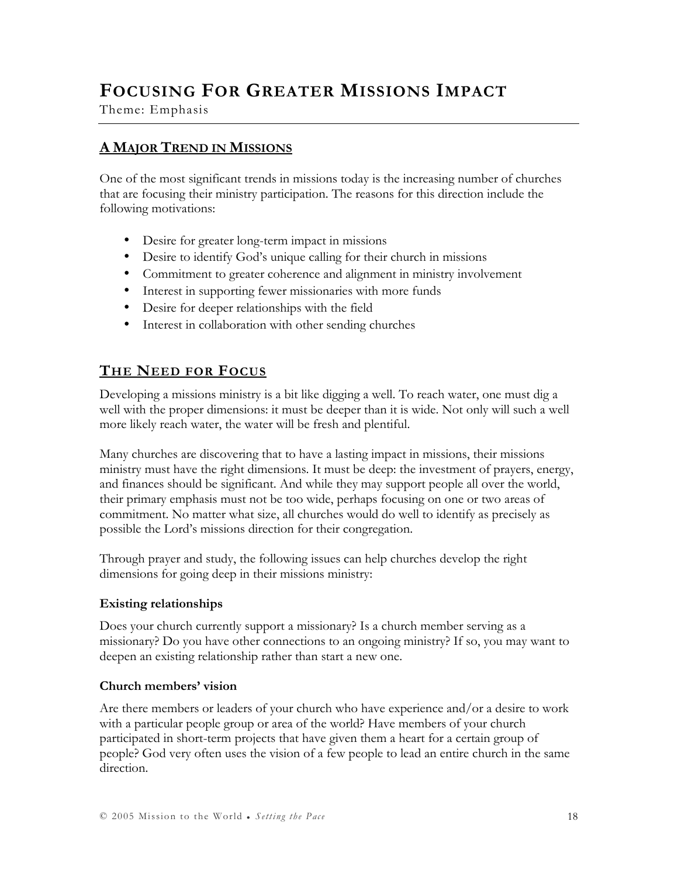## FOCUSING FOR GREATER MISSIONS IMPACT

Theme: Emphasis

## A MAJOR TREND IN MISSIONS

One of the most significant trends in missions today is the increasing number of churches that are focusing their ministry participation. The reasons for this direction include the following motivations:

- Desire for greater long-term impact in missions
- Desire to identify God's unique calling for their church in missions
- Commitment to greater coherence and alignment in ministry involvement
- Interest in supporting fewer missionaries with more funds
- Desire for deeper relationships with the field
- Interest in collaboration with other sending churches

## **THE NEED FOR FOCUS**

Developing a missions ministry is a bit like digging a well. To reach water, one must dig a well with the proper dimensions: it must be deeper than it is wide. Not only will such a well more likely reach water, the water will be fresh and plentiful.

Many churches are discovering that to have a lasting impact in missions, their missions ministry must have the right dimensions. It must be deep: the investment of prayers, energy, and finances should be significant. And while they may support people all over the world, their primary emphasis must not be too wide, perhaps focusing on one or two areas of commitment. No matter what size, all churches would do well to identify as precisely as possible the Lord's missions direction for their congregation.

Through prayer and study, the following issues can help churches develop the right dimensions for going deep in their missions ministry:

#### Existing relationships

Does your church currently support a missionary? Is a church member serving as a missionary? Do you have other connections to an ongoing ministry? If so, you may want to deepen an existing relationship rather than start a new one.

#### Church members' vision

Are there members or leaders of your church who have experience and/or a desire to work with a particular people group or area of the world? Have members of your church participated in short-term projects that have given them a heart for a certain group of people? God very often uses the vision of a few people to lead an entire church in the same direction.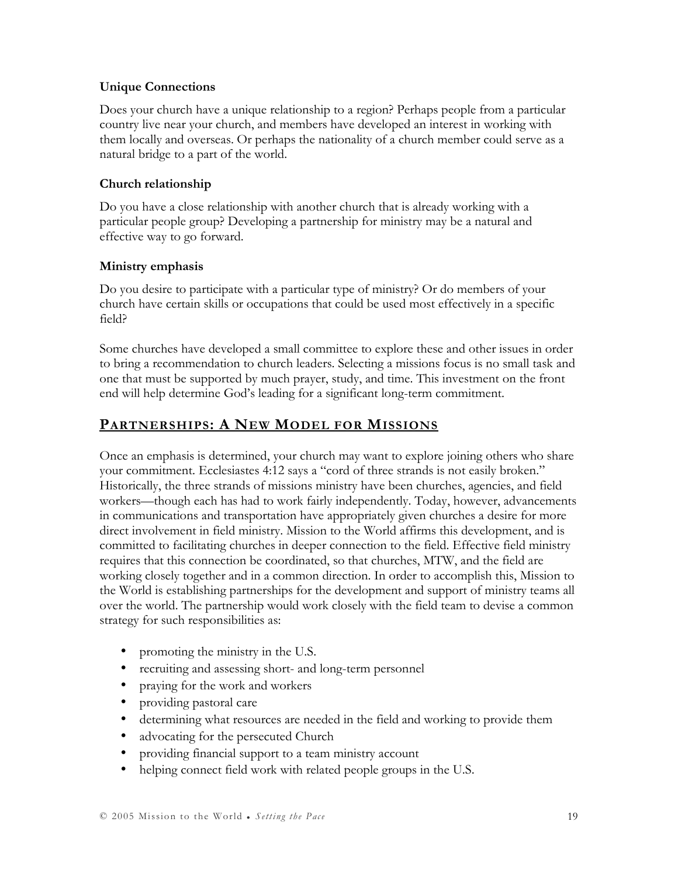#### Unique Connections

Does your church have a unique relationship to a region? Perhaps people from a particular country live near your church, and members have developed an interest in working with them locally and overseas. Or perhaps the nationality of a church member could serve as a natural bridge to a part of the world.

#### Church relationship

Do you have a close relationship with another church that is already working with a particular people group? Developing a partnership for ministry may be a natural and effective way to go forward.

#### Ministry emphasis

Do you desire to participate with a particular type of ministry? Or do members of your church have certain skills or occupations that could be used most effectively in a specific field?

Some churches have developed a small committee to explore these and other issues in order to bring a recommendation to church leaders. Selecting a missions focus is no small task and one that must be supported by much prayer, study, and time. This investment on the front end will help determine God's leading for a significant long-term commitment.

## PARTNERSHIPS: A NEW MODEL FOR MISSIONS

Once an emphasis is determined, your church may want to explore joining others who share your commitment. Ecclesiastes 4:12 says a "cord of three strands is not easily broken." Historically, the three strands of missions ministry have been churches, agencies, and field workers—though each has had to work fairly independently. Today, however, advancements in communications and transportation have appropriately given churches a desire for more direct involvement in field ministry. Mission to the World affirms this development, and is committed to facilitating churches in deeper connection to the field. Effective field ministry requires that this connection be coordinated, so that churches, MTW, and the field are working closely together and in a common direction. In order to accomplish this, Mission to the World is establishing partnerships for the development and support of ministry teams all over the world. The partnership would work closely with the field team to devise a common strategy for such responsibilities as:

- promoting the ministry in the U.S.
- recruiting and assessing short- and long-term personnel
- praying for the work and workers
- providing pastoral care
- determining what resources are needed in the field and working to provide them
- advocating for the persecuted Church
- providing financial support to a team ministry account
- helping connect field work with related people groups in the U.S.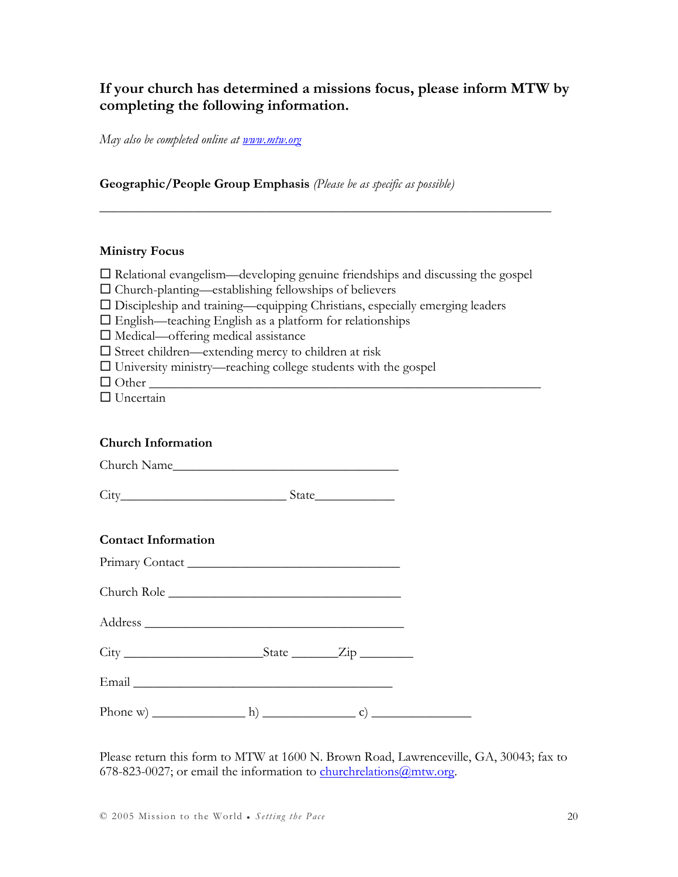## If your church has determined a missions focus, please inform MTW by completing the following information.

\_\_\_\_\_\_\_\_\_\_\_\_\_\_\_\_\_\_\_\_\_\_\_\_\_\_\_\_\_\_\_\_\_\_\_\_\_\_\_\_\_\_\_\_\_\_\_\_\_\_\_\_\_\_\_\_\_\_\_\_\_\_\_\_\_\_\_\_

May also be completed online at **www.mtw.org** 

### Geographic/People Group Emphasis (Please be as specific as possible)

#### Ministry Focus

| $\Box$ Relational evangelism—developing genuine friendships and discussing the gospel |
|---------------------------------------------------------------------------------------|
| $\Box$ Church-planting—establishing fellowships of believers                          |
| $\square$ Discipleship and training—equipping Christians, especially emerging leaders |
| $\Box$ English—teaching English as a platform for relationships                       |
| $\Box$ Medical—offering medical assistance                                            |
| $\square$ Street children—extending mercy to children at risk                         |
| $\Box$ University ministry—reaching college students with the gospel                  |
| $\Box$ Other                                                                          |
| $\Box$ Uncertain                                                                      |
|                                                                                       |
|                                                                                       |
| <b>Church Information</b>                                                             |

| Church Name |       |
|-------------|-------|
| City        | State |

## Contact Information

| Primary Contact |  |
|-----------------|--|
|                 |  |

| Church Role |  |
|-------------|--|
|             |  |

| <b>Address</b> |       |                   |  |
|----------------|-------|-------------------|--|
| City           | State | $\Box$ I $\Gamma$ |  |

| Email |  |  |  |  |
|-------|--|--|--|--|

| $\mathbf{D}$                |        |  |  |
|-----------------------------|--------|--|--|
| าทe w<br>₽n<br><b>THOME</b> | <br>-- |  |  |
|                             |        |  |  |

Please return this form to MTW at 1600 N. Brown Road, Lawrenceville, GA, 30043; fax to 678-823-0027; or email the information to churchrelations@mtw.org.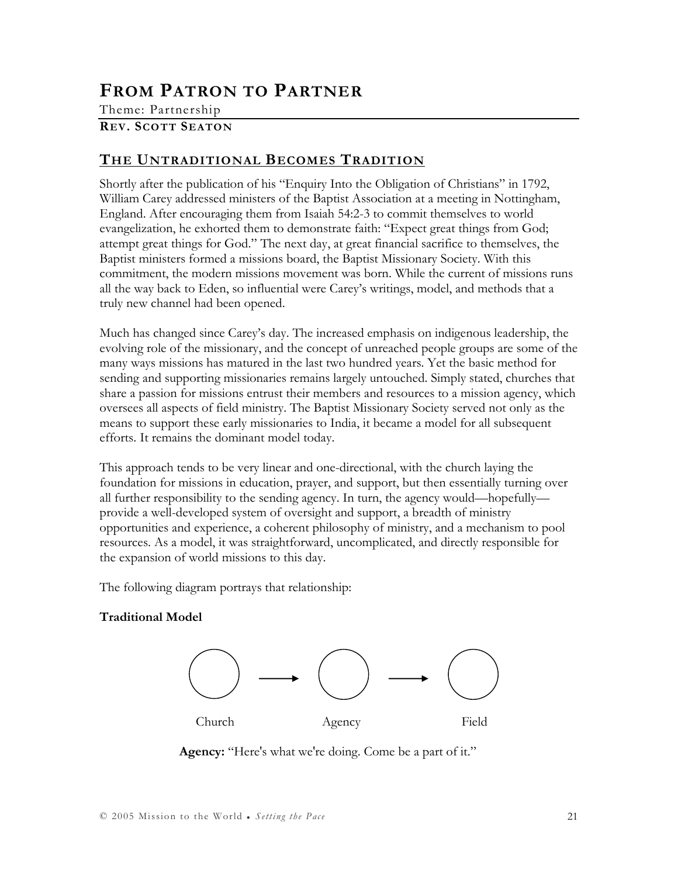## FROM PATRON TO PARTNER

Theme: Partnership

#### REV. SCOTT SEATON

## THE UNTRADITIONAL BECOMES TRADITION

Shortly after the publication of his "Enquiry Into the Obligation of Christians" in 1792, William Carey addressed ministers of the Baptist Association at a meeting in Nottingham, England. After encouraging them from Isaiah 54:2-3 to commit themselves to world evangelization, he exhorted them to demonstrate faith: "Expect great things from God; attempt great things for God." The next day, at great financial sacrifice to themselves, the Baptist ministers formed a missions board, the Baptist Missionary Society. With this commitment, the modern missions movement was born. While the current of missions runs all the way back to Eden, so influential were Carey's writings, model, and methods that a truly new channel had been opened.

Much has changed since Carey's day. The increased emphasis on indigenous leadership, the evolving role of the missionary, and the concept of unreached people groups are some of the many ways missions has matured in the last two hundred years. Yet the basic method for sending and supporting missionaries remains largely untouched. Simply stated, churches that share a passion for missions entrust their members and resources to a mission agency, which oversees all aspects of field ministry. The Baptist Missionary Society served not only as the means to support these early missionaries to India, it became a model for all subsequent efforts. It remains the dominant model today.

This approach tends to be very linear and one-directional, with the church laying the foundation for missions in education, prayer, and support, but then essentially turning over all further responsibility to the sending agency. In turn, the agency would—hopefully provide a well-developed system of oversight and support, a breadth of ministry opportunities and experience, a coherent philosophy of ministry, and a mechanism to pool resources. As a model, it was straightforward, uncomplicated, and directly responsible for the expansion of world missions to this day.

The following diagram portrays that relationship:

#### Traditional Model



Agency: "Here's what we're doing. Come be a part of it."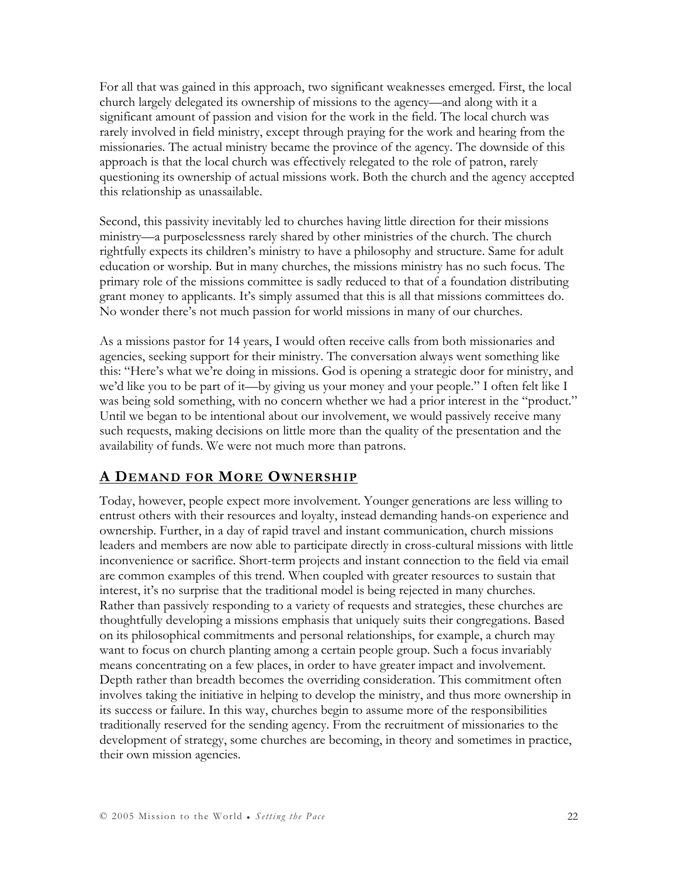For all that was gained in this approach, two significant weaknesses emerged. First, the local church largely delegated its ownership of missions to the agency—and along with it a significant amount of passion and vision for the work in the field. The local church was rarely involved in field ministry, except through praying for the work and hearing from the missionaries. The actual ministry became the province of the agency. The downside of this approach is that the local church was effectively relegated to the role of patron, rarely questioning its ownership of actual missions work. Both the church and the agency accepted this relationship as unassailable.

Second, this passivity inevitably led to churches having little direction for their missions ministry—a purposelessness rarely shared by other ministries of the church. The church rightfully expects its children's ministry to have a philosophy and structure. Same for adult education or worship. But in many churches, the missions ministry has no such focus. The primary role of the missions committee is sadly reduced to that of a foundation distributing grant money to applicants. It's simply assumed that this is all that missions committees do. No wonder there's not much passion for world missions in many of our churches.

As a missions pastor for 14 years, I would often receive calls from both missionaries and agencies, seeking support for their ministry. The conversation always went something like this: "Here's what we're doing in missions. God is opening a strategic door for ministry, and we'd like you to be part of it—by giving us your money and your people." I often felt like I was being sold something, with no concern whether we had a prior interest in the "product." Until we began to be intentional about our involvement, we would passively receive many such requests, making decisions on little more than the quality of the presentation and the availability of funds. We were not much more than patrons.

## A DEMAND FOR MORE OWNERSHIP

Today, however, people expect more involvement. Younger generations are less willing to entrust others with their resources and loyalty, instead demanding hands-on experience and ownership. Further, in a day of rapid travel and instant communication, church missions leaders and members are now able to participate directly in cross-cultural missions with little inconvenience or sacrifice. Short-term projects and instant connection to the field via email are common examples of this trend. When coupled with greater resources to sustain that interest, it's no surprise that the traditional model is being rejected in many churches. Rather than passively responding to a variety of requests and strategies, these churches are thoughtfully developing a missions emphasis that uniquely suits their congregations. Based on its philosophical commitments and personal relationships, for example, a church may want to focus on church planting among a certain people group. Such a focus invariably means concentrating on a few places, in order to have greater impact and involvement. Depth rather than breadth becomes the overriding consideration. This commitment often involves taking the initiative in helping to develop the ministry, and thus more ownership in its success or failure. In this way, churches begin to assume more of the responsibilities traditionally reserved for the sending agency. From the recruitment of missionaries to the development of strategy, some churches are becoming, in theory and sometimes in practice, their own mission agencies.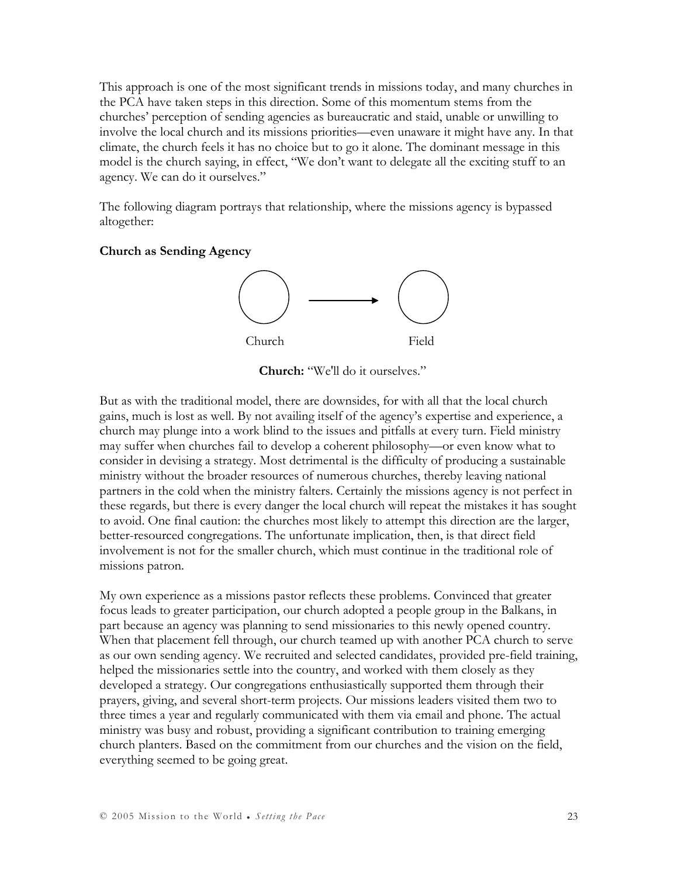This approach is one of the most significant trends in missions today, and many churches in the PCA have taken steps in this direction. Some of this momentum stems from the churches' perception of sending agencies as bureaucratic and staid, unable or unwilling to involve the local church and its missions priorities—even unaware it might have any. In that climate, the church feels it has no choice but to go it alone. The dominant message in this model is the church saying, in effect, "We don't want to delegate all the exciting stuff to an agency. We can do it ourselves."

The following diagram portrays that relationship, where the missions agency is bypassed altogether:

#### Church as Sending Agency



Church: "We'll do it ourselves."

But as with the traditional model, there are downsides, for with all that the local church gains, much is lost as well. By not availing itself of the agency's expertise and experience, a church may plunge into a work blind to the issues and pitfalls at every turn. Field ministry may suffer when churches fail to develop a coherent philosophy—or even know what to consider in devising a strategy. Most detrimental is the difficulty of producing a sustainable ministry without the broader resources of numerous churches, thereby leaving national partners in the cold when the ministry falters. Certainly the missions agency is not perfect in these regards, but there is every danger the local church will repeat the mistakes it has sought to avoid. One final caution: the churches most likely to attempt this direction are the larger, better-resourced congregations. The unfortunate implication, then, is that direct field involvement is not for the smaller church, which must continue in the traditional role of missions patron.

My own experience as a missions pastor reflects these problems. Convinced that greater focus leads to greater participation, our church adopted a people group in the Balkans, in part because an agency was planning to send missionaries to this newly opened country. When that placement fell through, our church teamed up with another PCA church to serve as our own sending agency. We recruited and selected candidates, provided pre-field training, helped the missionaries settle into the country, and worked with them closely as they developed a strategy. Our congregations enthusiastically supported them through their prayers, giving, and several short-term projects. Our missions leaders visited them two to three times a year and regularly communicated with them via email and phone. The actual ministry was busy and robust, providing a significant contribution to training emerging church planters. Based on the commitment from our churches and the vision on the field, everything seemed to be going great.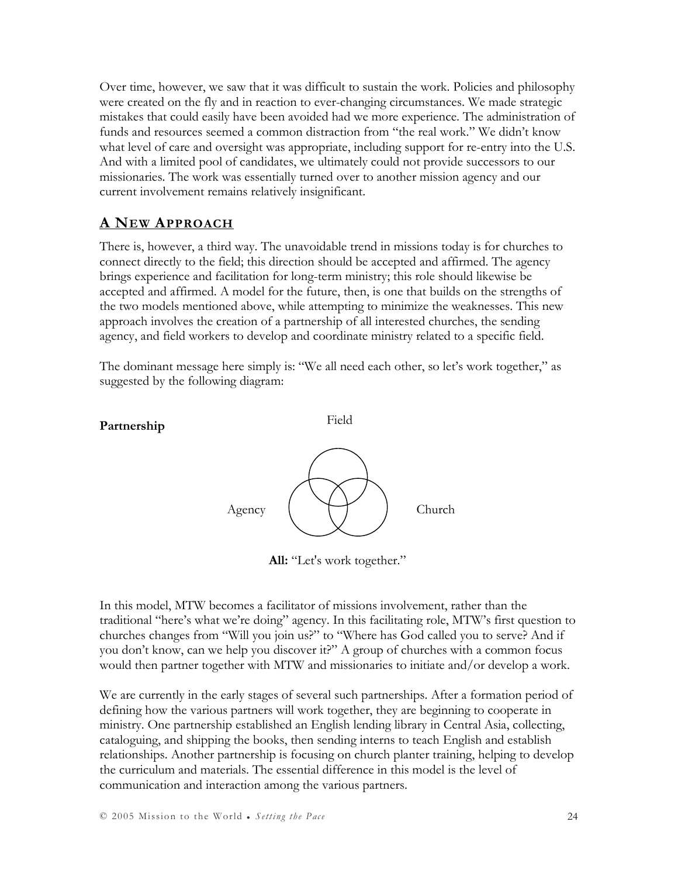Over time, however, we saw that it was difficult to sustain the work. Policies and philosophy were created on the fly and in reaction to ever-changing circumstances. We made strategic mistakes that could easily have been avoided had we more experience. The administration of funds and resources seemed a common distraction from "the real work." We didn't know what level of care and oversight was appropriate, including support for re-entry into the U.S. And with a limited pool of candidates, we ultimately could not provide successors to our missionaries. The work was essentially turned over to another mission agency and our current involvement remains relatively insignificant.

### A NEW APPROACH

There is, however, a third way. The unavoidable trend in missions today is for churches to connect directly to the field; this direction should be accepted and affirmed. The agency brings experience and facilitation for long-term ministry; this role should likewise be accepted and affirmed. A model for the future, then, is one that builds on the strengths of the two models mentioned above, while attempting to minimize the weaknesses. This new approach involves the creation of a partnership of all interested churches, the sending agency, and field workers to develop and coordinate ministry related to a specific field.

The dominant message here simply is: "We all need each other, so let's work together," as suggested by the following diagram:

#### Partnership

Field



All: "Let's work together."

In this model, MTW becomes a facilitator of missions involvement, rather than the traditional "here's what we're doing" agency. In this facilitating role, MTW's first question to churches changes from "Will you join us?" to "Where has God called you to serve? And if you don't know, can we help you discover it?" A group of churches with a common focus would then partner together with MTW and missionaries to initiate and/or develop a work.

We are currently in the early stages of several such partnerships. After a formation period of defining how the various partners will work together, they are beginning to cooperate in ministry. One partnership established an English lending library in Central Asia, collecting, cataloguing, and shipping the books, then sending interns to teach English and establish relationships. Another partnership is focusing on church planter training, helping to develop the curriculum and materials. The essential difference in this model is the level of communication and interaction among the various partners.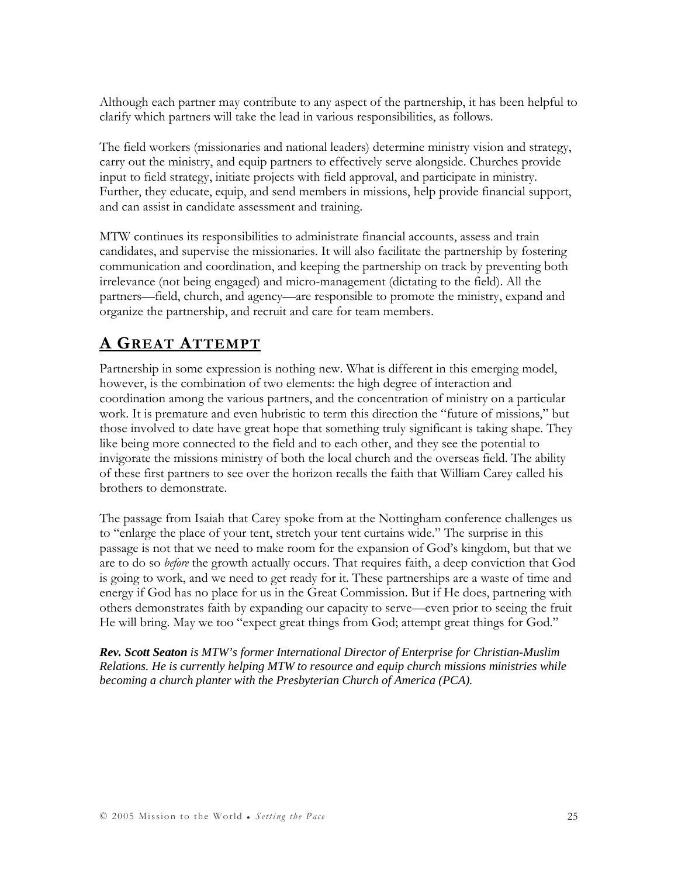Although each partner may contribute to any aspect of the partnership, it has been helpful to clarify which partners will take the lead in various responsibilities, as follows.

The field workers (missionaries and national leaders) determine ministry vision and strategy, carry out the ministry, and equip partners to effectively serve alongside. Churches provide input to field strategy, initiate projects with field approval, and participate in ministry. Further, they educate, equip, and send members in missions, help provide financial support, and can assist in candidate assessment and training.

MTW continues its responsibilities to administrate financial accounts, assess and train candidates, and supervise the missionaries. It will also facilitate the partnership by fostering communication and coordination, and keeping the partnership on track by preventing both irrelevance (not being engaged) and micro-management (dictating to the field). All the partners—field, church, and agency—are responsible to promote the ministry, expand and organize the partnership, and recruit and care for team members.

## A GREAT ATTEMPT

Partnership in some expression is nothing new. What is different in this emerging model, however, is the combination of two elements: the high degree of interaction and coordination among the various partners, and the concentration of ministry on a particular work. It is premature and even hubristic to term this direction the "future of missions," but those involved to date have great hope that something truly significant is taking shape. They like being more connected to the field and to each other, and they see the potential to invigorate the missions ministry of both the local church and the overseas field. The ability of these first partners to see over the horizon recalls the faith that William Carey called his brothers to demonstrate.

The passage from Isaiah that Carey spoke from at the Nottingham conference challenges us to "enlarge the place of your tent, stretch your tent curtains wide." The surprise in this passage is not that we need to make room for the expansion of God's kingdom, but that we are to do so before the growth actually occurs. That requires faith, a deep conviction that God is going to work, and we need to get ready for it. These partnerships are a waste of time and energy if God has no place for us in the Great Commission. But if He does, partnering with others demonstrates faith by expanding our capacity to serve—even prior to seeing the fruit He will bring. May we too "expect great things from God; attempt great things for God."

*Rev. Scott Seaton is MTW's former International Director of Enterprise for Christian-Muslim Relations. He is currently helping MTW to resource and equip church missions ministries while becoming a church planter with the Presbyterian Church of America (PCA).*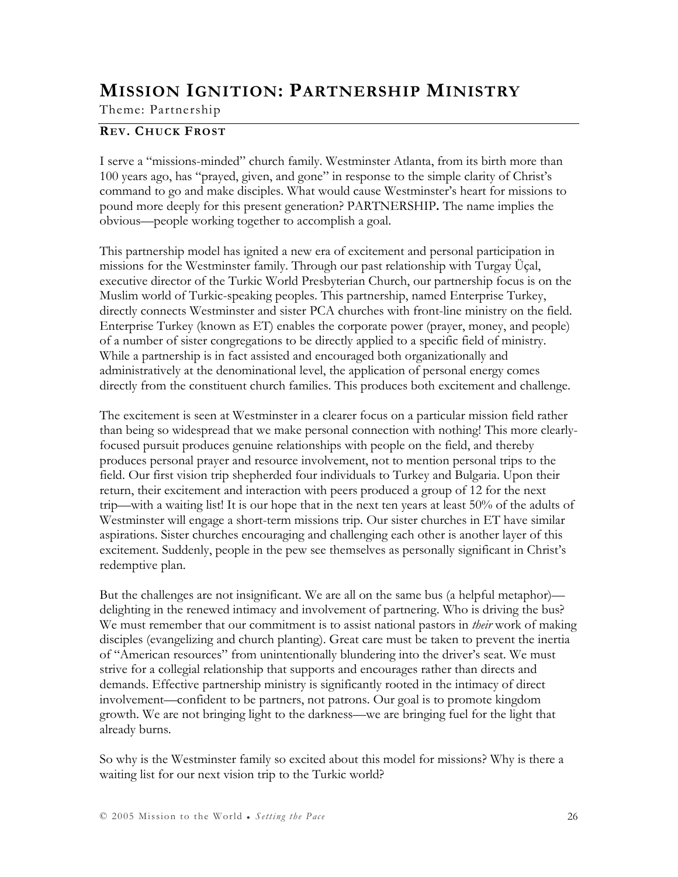## MISSION IGNITION: PARTNERSHIP MINISTRY

### Theme: Partnership

### REV. CHUCK FROST

I serve a "missions-minded" church family. Westminster Atlanta, from its birth more than 100 years ago, has "prayed, given, and gone" in response to the simple clarity of Christ's command to go and make disciples. What would cause Westminster's heart for missions to pound more deeply for this present generation? PARTNERSHIP. The name implies the obvious—people working together to accomplish a goal.

This partnership model has ignited a new era of excitement and personal participation in missions for the Westminster family. Through our past relationship with Turgay Üçal, executive director of the Turkic World Presbyterian Church, our partnership focus is on the Muslim world of Turkic-speaking peoples. This partnership, named Enterprise Turkey, directly connects Westminster and sister PCA churches with front-line ministry on the field. Enterprise Turkey (known as ET) enables the corporate power (prayer, money, and people) of a number of sister congregations to be directly applied to a specific field of ministry. While a partnership is in fact assisted and encouraged both organizationally and administratively at the denominational level, the application of personal energy comes directly from the constituent church families. This produces both excitement and challenge.

The excitement is seen at Westminster in a clearer focus on a particular mission field rather than being so widespread that we make personal connection with nothing! This more clearlyfocused pursuit produces genuine relationships with people on the field, and thereby produces personal prayer and resource involvement, not to mention personal trips to the field. Our first vision trip shepherded four individuals to Turkey and Bulgaria. Upon their return, their excitement and interaction with peers produced a group of 12 for the next trip—with a waiting list! It is our hope that in the next ten years at least 50% of the adults of Westminster will engage a short-term missions trip. Our sister churches in ET have similar aspirations. Sister churches encouraging and challenging each other is another layer of this excitement. Suddenly, people in the pew see themselves as personally significant in Christ's redemptive plan.

But the challenges are not insignificant. We are all on the same bus (a helpful metaphor) delighting in the renewed intimacy and involvement of partnering. Who is driving the bus? We must remember that our commitment is to assist national pastors in *their* work of making disciples (evangelizing and church planting). Great care must be taken to prevent the inertia of "American resources" from unintentionally blundering into the driver's seat. We must strive for a collegial relationship that supports and encourages rather than directs and demands. Effective partnership ministry is significantly rooted in the intimacy of direct involvement—confident to be partners, not patrons. Our goal is to promote kingdom growth. We are not bringing light to the darkness—we are bringing fuel for the light that already burns.

So why is the Westminster family so excited about this model for missions? Why is there a waiting list for our next vision trip to the Turkic world?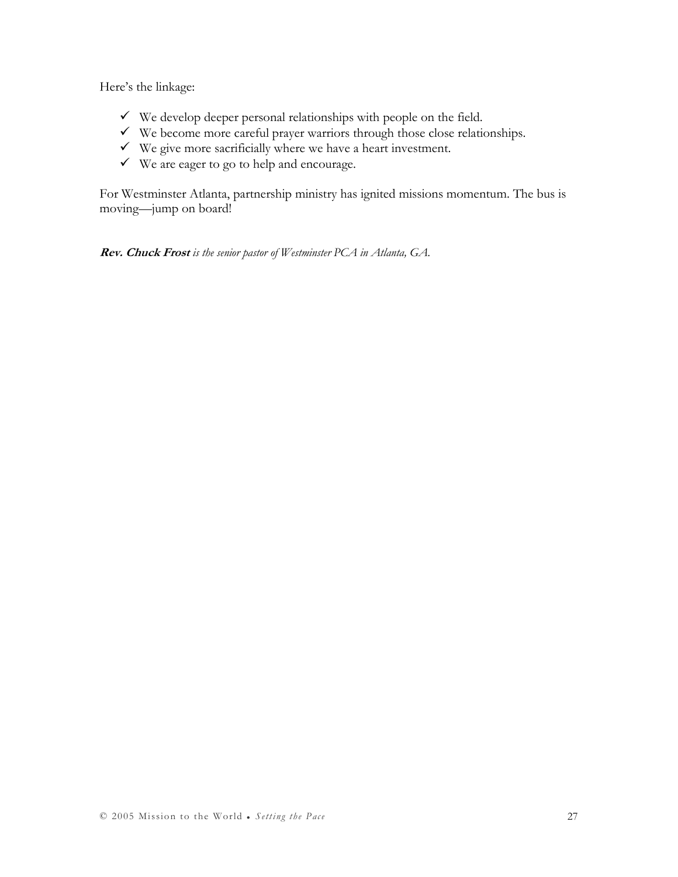Here's the linkage:

- $\checkmark$  We develop deeper personal relationships with people on the field.
- $\checkmark$  We become more careful prayer warriors through those close relationships.
- $\checkmark$  We give more sacrificially where we have a heart investment.
- $\checkmark$  We are eager to go to help and encourage.

For Westminster Atlanta, partnership ministry has ignited missions momentum. The bus is moving—jump on board!

Rev. Chuck Frost is the senior pastor of Westminster PCA in Atlanta, GA.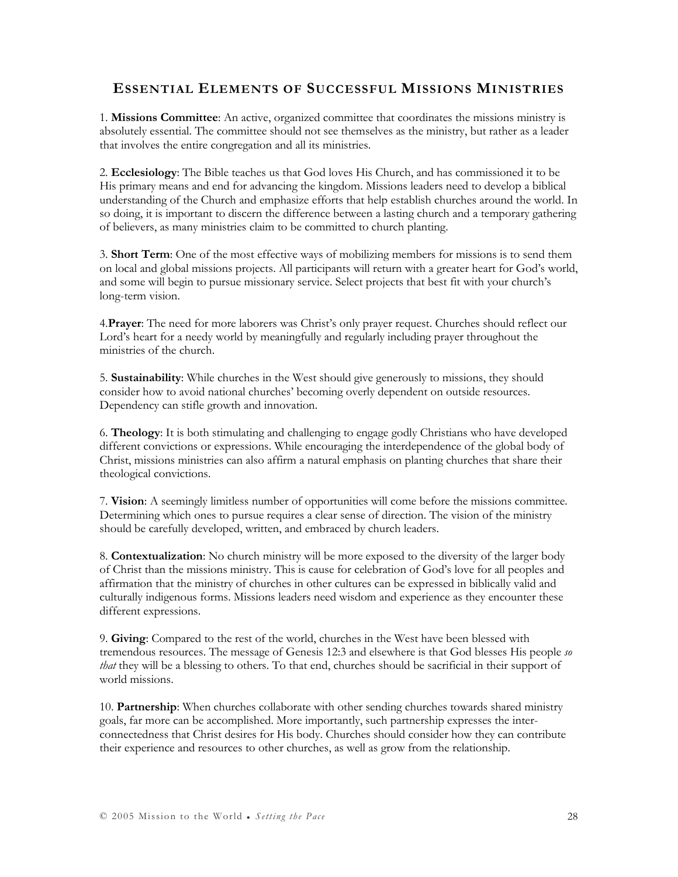### ESSENTIAL ELEMENTS OF SUCCESSFUL MISSIONS MINISTRIES

1. Missions Committee: An active, organized committee that coordinates the missions ministry is absolutely essential. The committee should not see themselves as the ministry, but rather as a leader that involves the entire congregation and all its ministries.

2. Ecclesiology: The Bible teaches us that God loves His Church, and has commissioned it to be His primary means and end for advancing the kingdom. Missions leaders need to develop a biblical understanding of the Church and emphasize efforts that help establish churches around the world. In so doing, it is important to discern the difference between a lasting church and a temporary gathering of believers, as many ministries claim to be committed to church planting.

3. Short Term: One of the most effective ways of mobilizing members for missions is to send them on local and global missions projects. All participants will return with a greater heart for God's world, and some will begin to pursue missionary service. Select projects that best fit with your church's long-term vision.

4. Prayer: The need for more laborers was Christ's only prayer request. Churches should reflect our Lord's heart for a needy world by meaningfully and regularly including prayer throughout the ministries of the church.

5. Sustainability: While churches in the West should give generously to missions, they should consider how to avoid national churches' becoming overly dependent on outside resources. Dependency can stifle growth and innovation.

6. Theology: It is both stimulating and challenging to engage godly Christians who have developed different convictions or expressions. While encouraging the interdependence of the global body of Christ, missions ministries can also affirm a natural emphasis on planting churches that share their theological convictions.

7. Vision: A seemingly limitless number of opportunities will come before the missions committee. Determining which ones to pursue requires a clear sense of direction. The vision of the ministry should be carefully developed, written, and embraced by church leaders.

8. Contextualization: No church ministry will be more exposed to the diversity of the larger body of Christ than the missions ministry. This is cause for celebration of God's love for all peoples and affirmation that the ministry of churches in other cultures can be expressed in biblically valid and culturally indigenous forms. Missions leaders need wisdom and experience as they encounter these different expressions.

9. Giving: Compared to the rest of the world, churches in the West have been blessed with tremendous resources. The message of Genesis 12:3 and elsewhere is that God blesses His people so that they will be a blessing to others. To that end, churches should be sacrificial in their support of world missions.

10. Partnership: When churches collaborate with other sending churches towards shared ministry goals, far more can be accomplished. More importantly, such partnership expresses the interconnectedness that Christ desires for His body. Churches should consider how they can contribute their experience and resources to other churches, as well as grow from the relationship.